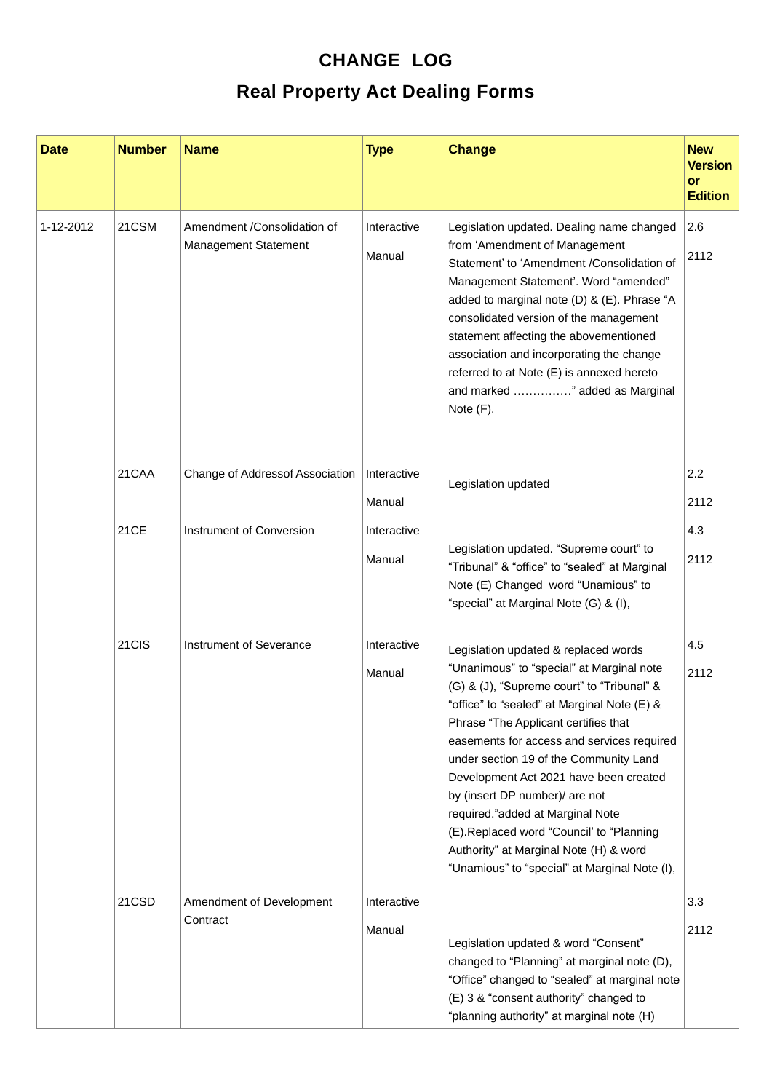## **CHANGE LOG Real Property Act Dealing Forms**

| <b>Date</b> | <b>Number</b> | <b>Name</b>                                                | <b>Type</b>           | <b>Change</b>                                                                                                                                                                                                                                                                                                                                                                                                                                                                                                                                                         | <b>New</b><br><b>Version</b><br>or<br><b>Edition</b> |
|-------------|---------------|------------------------------------------------------------|-----------------------|-----------------------------------------------------------------------------------------------------------------------------------------------------------------------------------------------------------------------------------------------------------------------------------------------------------------------------------------------------------------------------------------------------------------------------------------------------------------------------------------------------------------------------------------------------------------------|------------------------------------------------------|
| 1-12-2012   | 21CSM         | Amendment /Consolidation of<br><b>Management Statement</b> | Interactive<br>Manual | Legislation updated. Dealing name changed<br>from 'Amendment of Management<br>Statement' to 'Amendment /Consolidation of<br>Management Statement'. Word "amended"<br>added to marginal note (D) & (E). Phrase "A<br>consolidated version of the management<br>statement affecting the abovementioned<br>association and incorporating the change<br>referred to at Note (E) is annexed hereto<br>and marked " added as Marginal<br>Note (F).                                                                                                                          | 2.6<br>2112                                          |
|             | 21CAA         | Change of Addressof Association                            | Interactive<br>Manual | Legislation updated                                                                                                                                                                                                                                                                                                                                                                                                                                                                                                                                                   | 2.2<br>2112                                          |
|             | 21CE          | Instrument of Conversion                                   | Interactive<br>Manual | Legislation updated. "Supreme court" to<br>"Tribunal" & "office" to "sealed" at Marginal<br>Note (E) Changed word "Unamious" to<br>"special" at Marginal Note (G) & (I),                                                                                                                                                                                                                                                                                                                                                                                              | 4.3<br>2112                                          |
|             | 21CIS         | Instrument of Severance                                    | Interactive<br>Manual | Legislation updated & replaced words<br>"Unanimous" to "special" at Marginal note<br>(G) & (J), "Supreme court" to "Tribunal" &<br>"office" to "sealed" at Marginal Note (E) &<br>Phrase "The Applicant certifies that<br>easements for access and services required<br>under section 19 of the Community Land<br>Development Act 2021 have been created<br>by (insert DP number)/ are not<br>required."added at Marginal Note<br>(E).Replaced word "Council' to "Planning<br>Authority" at Marginal Note (H) & word<br>"Unamious" to "special" at Marginal Note (I), | 4.5<br>2112                                          |
|             | 21CSD         | Amendment of Development<br>Contract                       | Interactive<br>Manual | Legislation updated & word "Consent"<br>changed to "Planning" at marginal note (D),<br>"Office" changed to "sealed" at marginal note<br>(E) 3 & "consent authority" changed to<br>"planning authority" at marginal note (H)                                                                                                                                                                                                                                                                                                                                           | 3.3<br>2112                                          |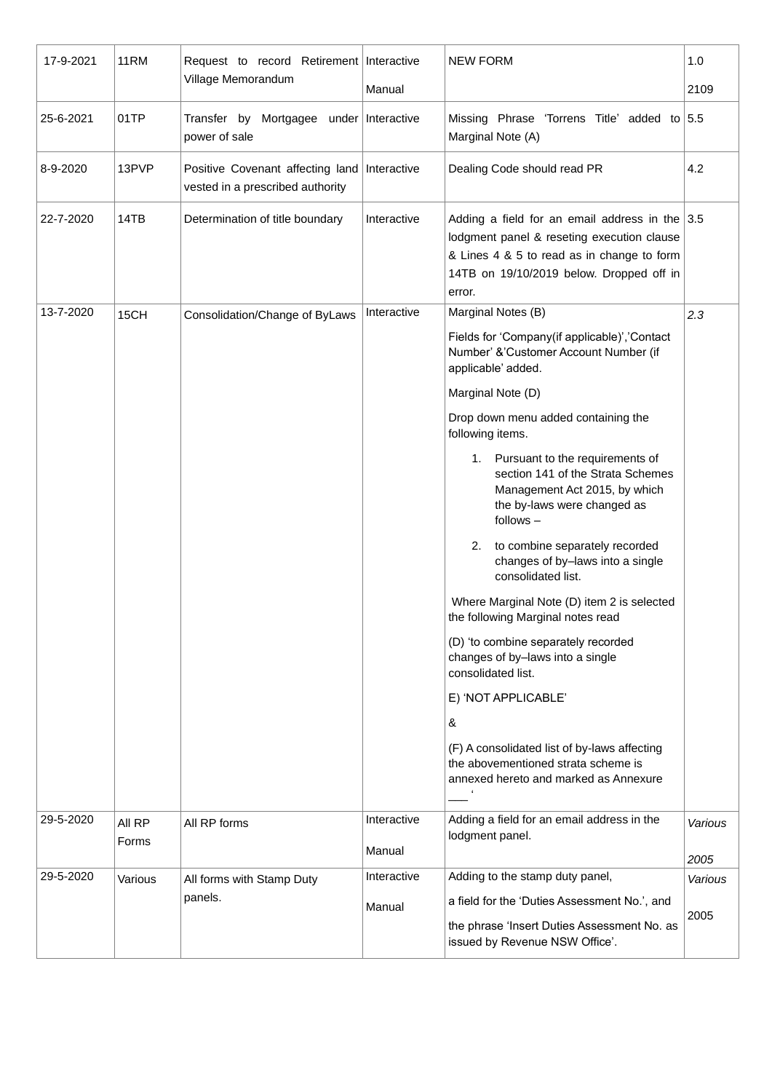| 17-9-2021 | 11RM            | Request to record Retirement Interactive<br>Village Memorandum                   |             | <b>NEW FORM</b>                                                                                                                                                                                    | 1.0     |
|-----------|-----------------|----------------------------------------------------------------------------------|-------------|----------------------------------------------------------------------------------------------------------------------------------------------------------------------------------------------------|---------|
|           |                 |                                                                                  | Manual      |                                                                                                                                                                                                    | 2109    |
| 25-6-2021 | 01TP            | Transfer by Mortgagee under Interactive<br>power of sale                         |             | Missing Phrase 'Torrens Title' added to 5.5<br>Marginal Note (A)                                                                                                                                   |         |
| 8-9-2020  | 13PVP           | Positive Covenant affecting land Interactive<br>vested in a prescribed authority |             | Dealing Code should read PR                                                                                                                                                                        | 4.2     |
| 22-7-2020 | 14TB            | Determination of title boundary                                                  | Interactive | Adding a field for an email address in the $3.5$<br>lodgment panel & reseting execution clause<br>& Lines 4 & 5 to read as in change to form<br>14TB on 19/10/2019 below. Dropped off in<br>error. |         |
| 13-7-2020 | 15CH            | Consolidation/Change of ByLaws                                                   | Interactive | Marginal Notes (B)                                                                                                                                                                                 | 2.3     |
|           |                 |                                                                                  |             | Fields for 'Company(if applicable)','Contact<br>Number' &'Customer Account Number (if<br>applicable' added.                                                                                        |         |
|           |                 |                                                                                  |             | Marginal Note (D)                                                                                                                                                                                  |         |
|           |                 |                                                                                  |             | Drop down menu added containing the<br>following items.                                                                                                                                            |         |
|           |                 |                                                                                  |             | 1. Pursuant to the requirements of<br>section 141 of the Strata Schemes<br>Management Act 2015, by which<br>the by-laws were changed as<br>follows-                                                |         |
|           |                 |                                                                                  |             | to combine separately recorded<br>2.<br>changes of by-laws into a single<br>consolidated list.                                                                                                     |         |
|           |                 |                                                                                  |             | Where Marginal Note (D) item 2 is selected<br>the following Marginal notes read                                                                                                                    |         |
|           |                 |                                                                                  |             | (D) 'to combine separately recorded<br>changes of by-laws into a single<br>consolidated list.                                                                                                      |         |
|           |                 |                                                                                  |             | E) 'NOT APPLICABLE'                                                                                                                                                                                |         |
|           |                 |                                                                                  |             | &                                                                                                                                                                                                  |         |
|           |                 |                                                                                  |             | (F) A consolidated list of by-laws affecting<br>the abovementioned strata scheme is<br>annexed hereto and marked as Annexure                                                                       |         |
| 29-5-2020 | All RP<br>Forms | All RP forms                                                                     | Interactive | Adding a field for an email address in the<br>lodgment panel.                                                                                                                                      | Various |
|           |                 |                                                                                  | Manual      |                                                                                                                                                                                                    | 2005    |
| 29-5-2020 | Various         | All forms with Stamp Duty                                                        | Interactive | Adding to the stamp duty panel,                                                                                                                                                                    | Various |
|           |                 | panels.                                                                          | Manual      | a field for the 'Duties Assessment No.', and<br>the phrase 'Insert Duties Assessment No. as<br>issued by Revenue NSW Office'.                                                                      | 2005    |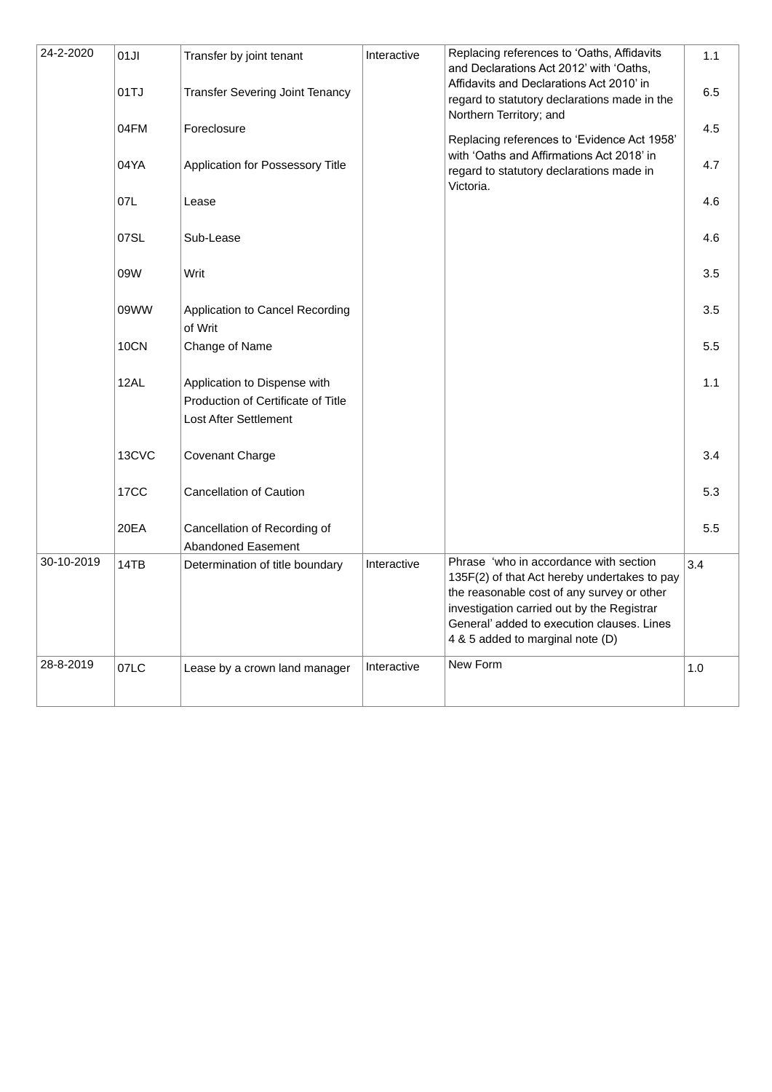| 24-2-2020  | 01JI  | Transfer by joint tenant                                                                    | Interactive | Replacing references to 'Oaths, Affidavits<br>and Declarations Act 2012' with 'Oaths,                                                                                                                                                                                | 1.1 |
|------------|-------|---------------------------------------------------------------------------------------------|-------------|----------------------------------------------------------------------------------------------------------------------------------------------------------------------------------------------------------------------------------------------------------------------|-----|
|            | 01TJ  | <b>Transfer Severing Joint Tenancy</b>                                                      |             | Affidavits and Declarations Act 2010' in<br>regard to statutory declarations made in the                                                                                                                                                                             | 6.5 |
|            | 04FM  | Foreclosure                                                                                 |             | Northern Territory; and<br>Replacing references to 'Evidence Act 1958'                                                                                                                                                                                               | 4.5 |
|            | 04YA  | Application for Possessory Title                                                            |             | with 'Oaths and Affirmations Act 2018' in<br>regard to statutory declarations made in                                                                                                                                                                                | 4.7 |
|            | 07L   | Lease                                                                                       |             | Victoria.                                                                                                                                                                                                                                                            | 4.6 |
|            | 07SL  | Sub-Lease                                                                                   |             |                                                                                                                                                                                                                                                                      | 4.6 |
|            | 09W   | Writ                                                                                        |             |                                                                                                                                                                                                                                                                      | 3.5 |
|            | 09WW  | Application to Cancel Recording<br>of Writ                                                  |             |                                                                                                                                                                                                                                                                      | 3.5 |
|            | 10CN  | Change of Name                                                                              |             |                                                                                                                                                                                                                                                                      | 5.5 |
|            | 12AL  | Application to Dispense with<br>Production of Certificate of Title<br>Lost After Settlement |             |                                                                                                                                                                                                                                                                      | 1.1 |
|            | 13CVC | Covenant Charge                                                                             |             |                                                                                                                                                                                                                                                                      | 3.4 |
|            | 17CC  | <b>Cancellation of Caution</b>                                                              |             |                                                                                                                                                                                                                                                                      | 5.3 |
|            | 20EA  | Cancellation of Recording of<br>Abandoned Easement                                          |             |                                                                                                                                                                                                                                                                      | 5.5 |
| 30-10-2019 | 14TB  | Determination of title boundary                                                             | Interactive | Phrase 'who in accordance with section<br>135F(2) of that Act hereby undertakes to pay<br>the reasonable cost of any survey or other<br>investigation carried out by the Registrar<br>General' added to execution clauses. Lines<br>4 & 5 added to marginal note (D) | 3.4 |
| 28-8-2019  | 07LC  | Lease by a crown land manager                                                               | Interactive | New Form                                                                                                                                                                                                                                                             | 1.0 |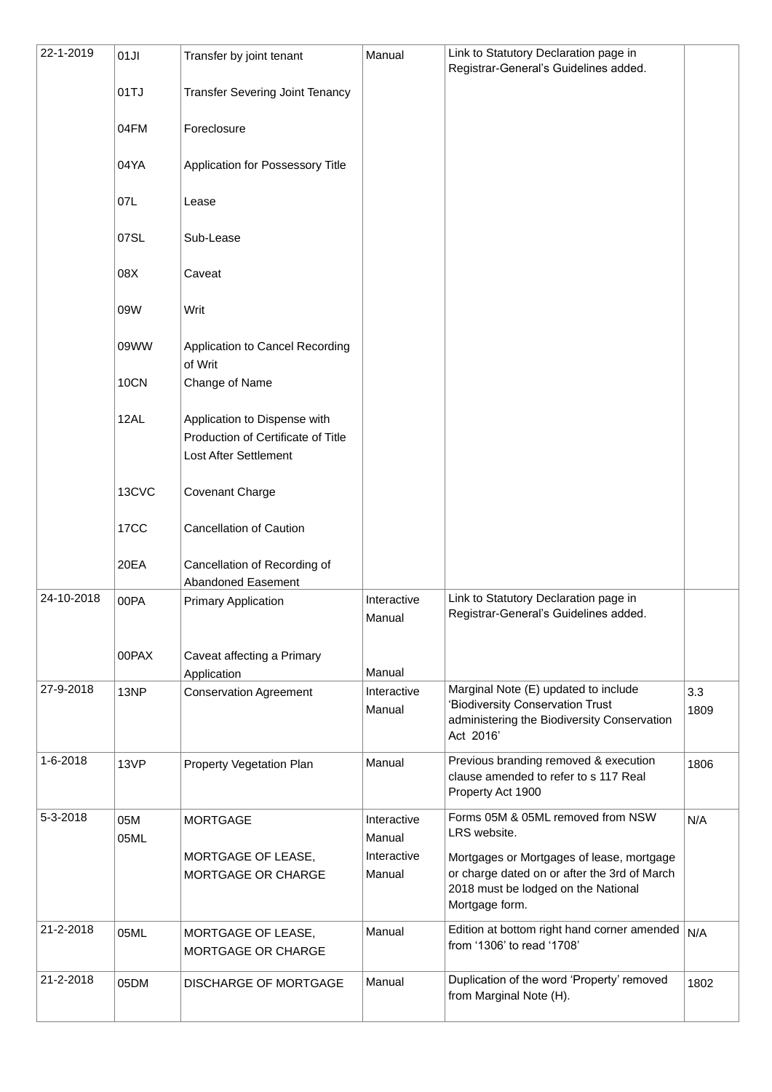| 22-1-2019  | 01JI        | Transfer by joint tenant                                                                    | Manual                | Link to Statutory Declaration page in                                                                                                              |             |
|------------|-------------|---------------------------------------------------------------------------------------------|-----------------------|----------------------------------------------------------------------------------------------------------------------------------------------------|-------------|
|            | 01TJ        | <b>Transfer Severing Joint Tenancy</b>                                                      |                       | Registrar-General's Guidelines added.                                                                                                              |             |
|            |             |                                                                                             |                       |                                                                                                                                                    |             |
|            | 04FM        | Foreclosure                                                                                 |                       |                                                                                                                                                    |             |
|            | 04YA        | Application for Possessory Title                                                            |                       |                                                                                                                                                    |             |
|            | 07L         | Lease                                                                                       |                       |                                                                                                                                                    |             |
|            | 07SL        | Sub-Lease                                                                                   |                       |                                                                                                                                                    |             |
|            | 08X         | Caveat                                                                                      |                       |                                                                                                                                                    |             |
|            | 09W         | Writ                                                                                        |                       |                                                                                                                                                    |             |
|            | 09WW        | Application to Cancel Recording<br>of Writ                                                  |                       |                                                                                                                                                    |             |
|            | 10CN        | Change of Name                                                                              |                       |                                                                                                                                                    |             |
|            | 12AL        | Application to Dispense with<br>Production of Certificate of Title<br>Lost After Settlement |                       |                                                                                                                                                    |             |
|            | 13CVC       | Covenant Charge                                                                             |                       |                                                                                                                                                    |             |
|            | 17CC        | <b>Cancellation of Caution</b>                                                              |                       |                                                                                                                                                    |             |
|            | 20EA        | Cancellation of Recording of<br>Abandoned Easement                                          |                       |                                                                                                                                                    |             |
| 24-10-2018 | 00PA        | <b>Primary Application</b>                                                                  | Interactive<br>Manual | Link to Statutory Declaration page in<br>Registrar-General's Guidelines added.                                                                     |             |
|            | 00PAX       | Caveat affecting a Primary<br>Application                                                   | Manual                |                                                                                                                                                    |             |
| 27-9-2018  | 13NP        | <b>Conservation Agreement</b>                                                               | Interactive<br>Manual | Marginal Note (E) updated to include<br>'Biodiversity Conservation Trust<br>administering the Biodiversity Conservation<br>Act 2016'               | 3.3<br>1809 |
| 1-6-2018   | 13VP        | Property Vegetation Plan                                                                    | Manual                | Previous branding removed & execution<br>clause amended to refer to s 117 Real<br>Property Act 1900                                                | 1806        |
| 5-3-2018   | 05M<br>05ML | <b>MORTGAGE</b>                                                                             | Interactive<br>Manual | Forms 05M & 05ML removed from NSW<br>LRS website.                                                                                                  | N/A         |
|            |             | MORTGAGE OF LEASE,<br>MORTGAGE OR CHARGE                                                    | Interactive<br>Manual | Mortgages or Mortgages of lease, mortgage<br>or charge dated on or after the 3rd of March<br>2018 must be lodged on the National<br>Mortgage form. |             |
| 21-2-2018  | 05ML        | MORTGAGE OF LEASE,<br>MORTGAGE OR CHARGE                                                    | Manual                | Edition at bottom right hand corner amended<br>from '1306' to read '1708'                                                                          | N/A         |
| 21-2-2018  | 05DM        | <b>DISCHARGE OF MORTGAGE</b>                                                                | Manual                | Duplication of the word 'Property' removed<br>from Marginal Note (H).                                                                              | 1802        |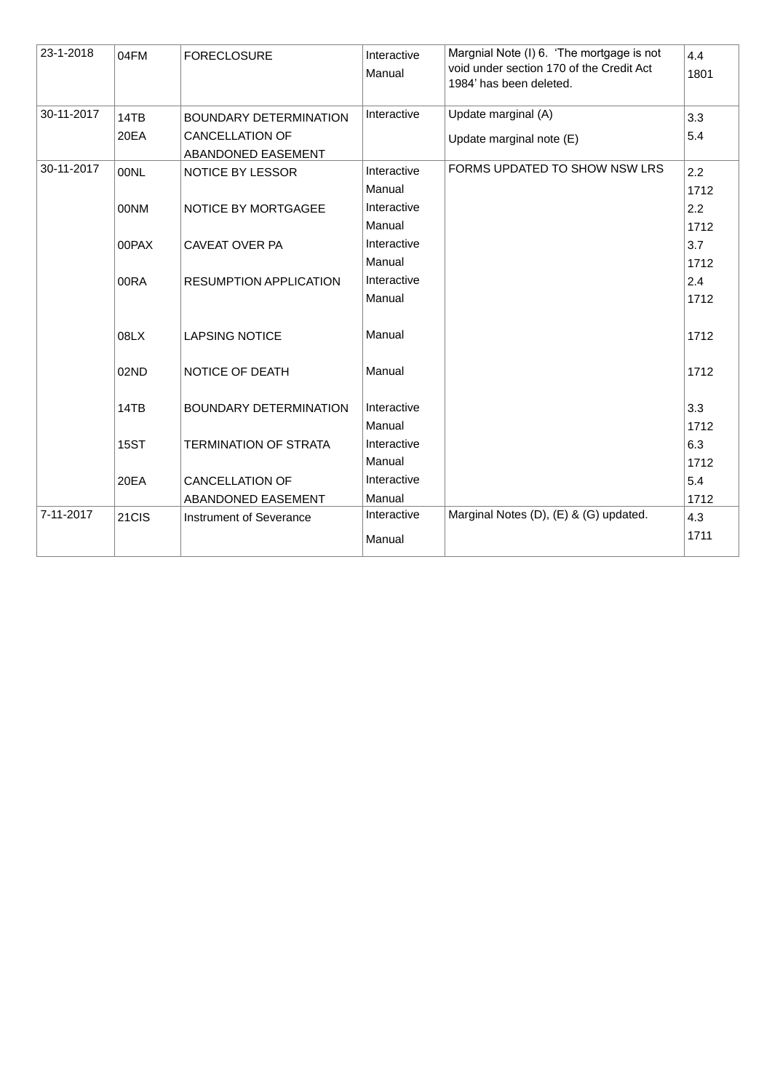| 23-1-2018  | 04FM        | <b>FORECLOSURE</b>                           | Interactive<br>Manual | Margnial Note (I) 6. 'The mortgage is not<br>void under section 170 of the Credit Act<br>1984' has been deleted. | 4.4<br>1801 |
|------------|-------------|----------------------------------------------|-----------------------|------------------------------------------------------------------------------------------------------------------|-------------|
| 30-11-2017 | 14TB        | <b>BOUNDARY DETERMINATION</b>                | Interactive           | Update marginal (A)                                                                                              | 3.3         |
|            | 20EA        | <b>CANCELLATION OF</b><br>ABANDONED EASEMENT |                       | Update marginal note (E)                                                                                         | 5.4         |
| 30-11-2017 | 00NL        | NOTICE BY LESSOR                             | Interactive<br>Manual | FORMS UPDATED TO SHOW NSW LRS                                                                                    | 2.2<br>1712 |
|            | 00NM        | NOTICE BY MORTGAGEE                          | Interactive           |                                                                                                                  | 2.2         |
|            |             |                                              | Manual                |                                                                                                                  | 1712        |
|            | 00PAX       | CAVEAT OVER PA                               | Interactive           |                                                                                                                  | 3.7         |
|            |             |                                              | Manual                |                                                                                                                  | 1712        |
|            | 00RA        | <b>RESUMPTION APPLICATION</b>                | Interactive           |                                                                                                                  | 2.4         |
|            |             |                                              | Manual                |                                                                                                                  | 1712        |
|            | 08LX        | <b>LAPSING NOTICE</b>                        | Manual                |                                                                                                                  | 1712        |
|            | 02ND        | NOTICE OF DEATH                              | Manual                |                                                                                                                  | 1712        |
|            | 14TB        | BOUNDARY DETERMINATION                       | Interactive           |                                                                                                                  | 3.3         |
|            |             |                                              | Manual                |                                                                                                                  | 1712        |
|            | <b>15ST</b> | <b>TERMINATION OF STRATA</b>                 | Interactive           |                                                                                                                  | 6.3         |
|            |             |                                              | Manual                |                                                                                                                  | 1712        |
|            | 20EA        | <b>CANCELLATION OF</b>                       | Interactive           |                                                                                                                  | 5.4         |
|            |             | ABANDONED EASEMENT                           | Manual                |                                                                                                                  | 1712        |
| 7-11-2017  | 21CIS       | Instrument of Severance                      | Interactive           | Marginal Notes (D), (E) & (G) updated.                                                                           | 4.3         |
|            |             |                                              | Manual                |                                                                                                                  | 1711        |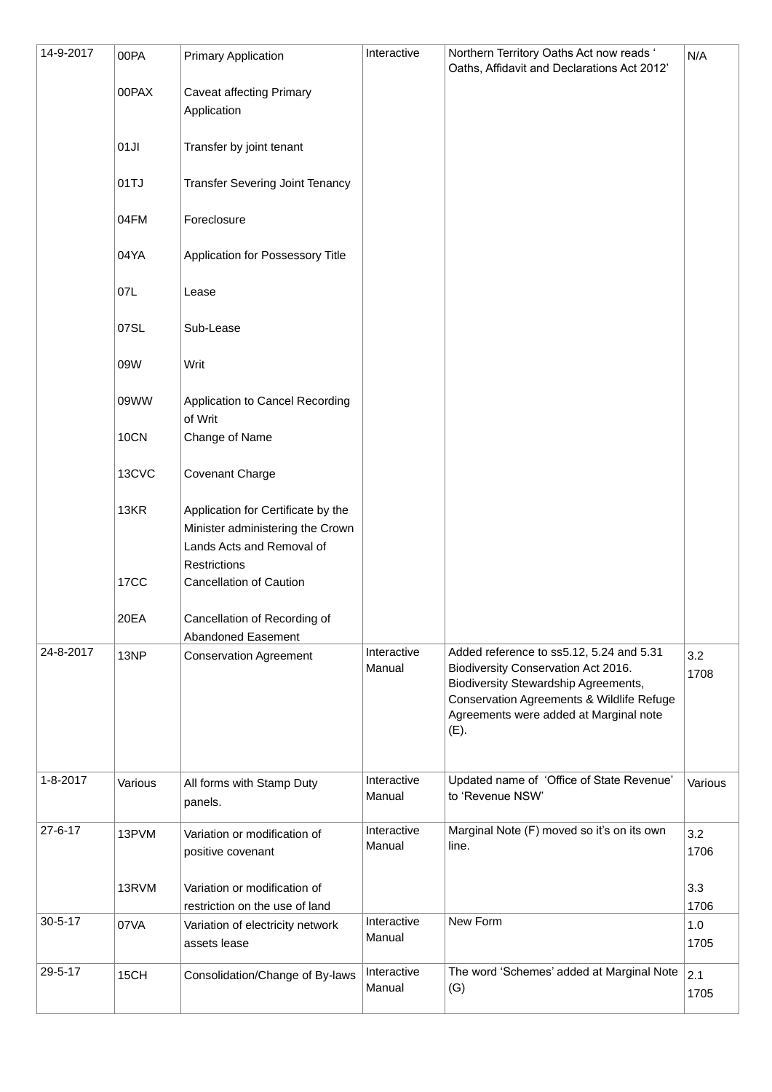| 14-9-2017      | 00PA<br>00PAX<br>01JI<br>01TJ<br>04FM<br>04YA<br>07L<br>07SL<br>09W<br>09WW<br><b>10CN</b><br>13CVC<br>13KR<br><b>17CC</b> | <b>Primary Application</b><br><b>Caveat affecting Primary</b><br>Application<br>Transfer by joint tenant<br><b>Transfer Severing Joint Tenancy</b><br>Foreclosure<br>Application for Possessory Title<br>Lease<br>Sub-Lease<br>Writ<br>Application to Cancel Recording<br>of Writ<br>Change of Name<br>Covenant Charge<br>Application for Certificate by the<br>Minister administering the Crown<br>Lands Acts and Removal of<br>Restrictions<br><b>Cancellation of Caution</b> | Interactive           | Northern Territory Oaths Act now reads '<br>Oaths, Affidavit and Declarations Act 2012'                                                                                                                                | N/A                |
|----------------|----------------------------------------------------------------------------------------------------------------------------|---------------------------------------------------------------------------------------------------------------------------------------------------------------------------------------------------------------------------------------------------------------------------------------------------------------------------------------------------------------------------------------------------------------------------------------------------------------------------------|-----------------------|------------------------------------------------------------------------------------------------------------------------------------------------------------------------------------------------------------------------|--------------------|
| 24-8-2017      | 20EA<br>13NP                                                                                                               | Cancellation of Recording of<br>Abandoned Easement<br><b>Conservation Agreement</b>                                                                                                                                                                                                                                                                                                                                                                                             | Interactive<br>Manual | Added reference to ss5.12, 5.24 and 5.31<br>Biodiversity Conservation Act 2016.<br>Biodiversity Stewardship Agreements,<br>Conservation Agreements & Wildlife Refuge<br>Agreements were added at Marginal note<br>(E). | 3.2<br>1708        |
| $1 - 8 - 2017$ | Various                                                                                                                    | All forms with Stamp Duty<br>panels.                                                                                                                                                                                                                                                                                                                                                                                                                                            | Interactive<br>Manual | Updated name of 'Office of State Revenue'<br>to 'Revenue NSW'                                                                                                                                                          | Various            |
| $27 - 6 - 17$  | 13PVM<br>13RVM                                                                                                             | Variation or modification of<br>positive covenant<br>Variation or modification of                                                                                                                                                                                                                                                                                                                                                                                               | Interactive<br>Manual | Marginal Note (F) moved so it's on its own<br>line.                                                                                                                                                                    | 3.2<br>1706<br>3.3 |
|                |                                                                                                                            | restriction on the use of land                                                                                                                                                                                                                                                                                                                                                                                                                                                  |                       |                                                                                                                                                                                                                        | 1706               |
| $30 - 5 - 17$  | 07VA                                                                                                                       | Variation of electricity network<br>assets lease                                                                                                                                                                                                                                                                                                                                                                                                                                | Interactive<br>Manual | New Form                                                                                                                                                                                                               | 1.0<br>1705        |
| 29-5-17        | 15CH                                                                                                                       | Consolidation/Change of By-laws                                                                                                                                                                                                                                                                                                                                                                                                                                                 | Interactive<br>Manual | The word 'Schemes' added at Marginal Note<br>(G)                                                                                                                                                                       | 2.1<br>1705        |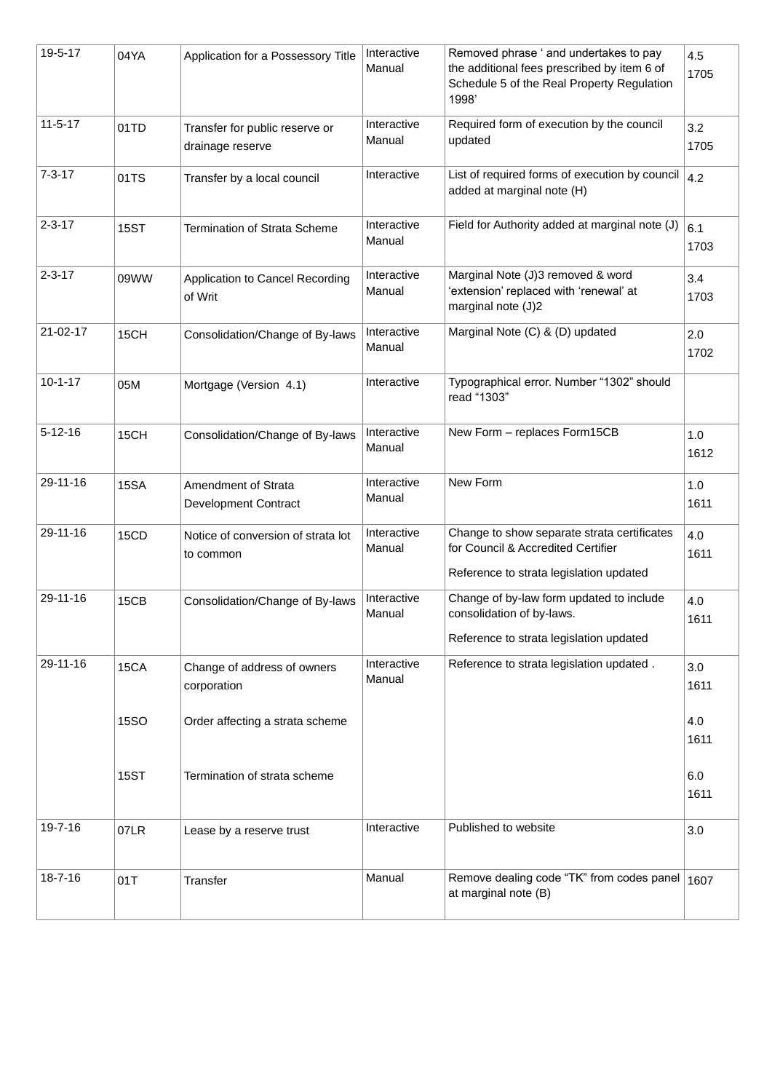| 19-5-17        | 04YA        | Application for a Possessory Title                 | Interactive<br>Manual | Removed phrase ' and undertakes to pay<br>the additional fees prescribed by item 6 of<br>Schedule 5 of the Real Property Regulation<br>1998' | 4.5<br>1705 |
|----------------|-------------|----------------------------------------------------|-----------------------|----------------------------------------------------------------------------------------------------------------------------------------------|-------------|
| $11 - 5 - 17$  | 01TD        | Transfer for public reserve or<br>drainage reserve | Interactive<br>Manual | Required form of execution by the council<br>updated                                                                                         | 3.2<br>1705 |
| $7 - 3 - 17$   | 01TS        | Transfer by a local council                        | Interactive           | List of required forms of execution by council $\vert_{4.2}$<br>added at marginal note (H)                                                   |             |
| $2 - 3 - 17$   | <b>15ST</b> | <b>Termination of Strata Scheme</b>                | Interactive<br>Manual | Field for Authority added at marginal note (J)                                                                                               | 6.1<br>1703 |
| $2 - 3 - 17$   | 09WW        | Application to Cancel Recording<br>of Writ         | Interactive<br>Manual | Marginal Note (J)3 removed & word<br>'extension' replaced with 'renewal' at<br>marginal note (J)2                                            | 3.4<br>1703 |
| $21 - 02 - 17$ | 15CH        | Consolidation/Change of By-laws                    | Interactive<br>Manual | Marginal Note (C) & (D) updated                                                                                                              | 2.0<br>1702 |
| $10 - 1 - 17$  | 05M         | Mortgage (Version 4.1)                             | Interactive           | Typographical error. Number "1302" should<br>read "1303"                                                                                     |             |
| $5 - 12 - 16$  | 15CH        | Consolidation/Change of By-laws                    | Interactive<br>Manual | New Form - replaces Form15CB                                                                                                                 | 1.0<br>1612 |
| 29-11-16       | <b>15SA</b> | Amendment of Strata<br><b>Development Contract</b> | Interactive<br>Manual | New Form                                                                                                                                     | 1.0<br>1611 |
| 29-11-16       | 15CD        | Notice of conversion of strata lot<br>to common    | Interactive<br>Manual | Change to show separate strata certificates<br>for Council & Accredited Certifier<br>Reference to strata legislation updated                 | 4.0<br>1611 |
| 29-11-16       | 15CB        | Consolidation/Change of By-laws                    | Interactive<br>Manual | Change of by-law form updated to include<br>consolidation of by-laws.                                                                        | 4.0<br>1611 |
|                |             |                                                    |                       | Reference to strata legislation updated                                                                                                      |             |
| 29-11-16       | 15CA        | Change of address of owners<br>corporation         | Interactive<br>Manual | Reference to strata legislation updated.                                                                                                     | 3.0<br>1611 |
|                | <b>15SO</b> | Order affecting a strata scheme                    |                       |                                                                                                                                              | 4.0<br>1611 |
|                | <b>15ST</b> | Termination of strata scheme                       |                       |                                                                                                                                              | 6.0<br>1611 |
| 19-7-16        | 07LR        | Lease by a reserve trust                           | Interactive           | Published to website                                                                                                                         | 3.0         |
| 18-7-16        | 01T         | Transfer                                           | Manual                | Remove dealing code "TK" from codes panel<br>at marginal note (B)                                                                            | 1607        |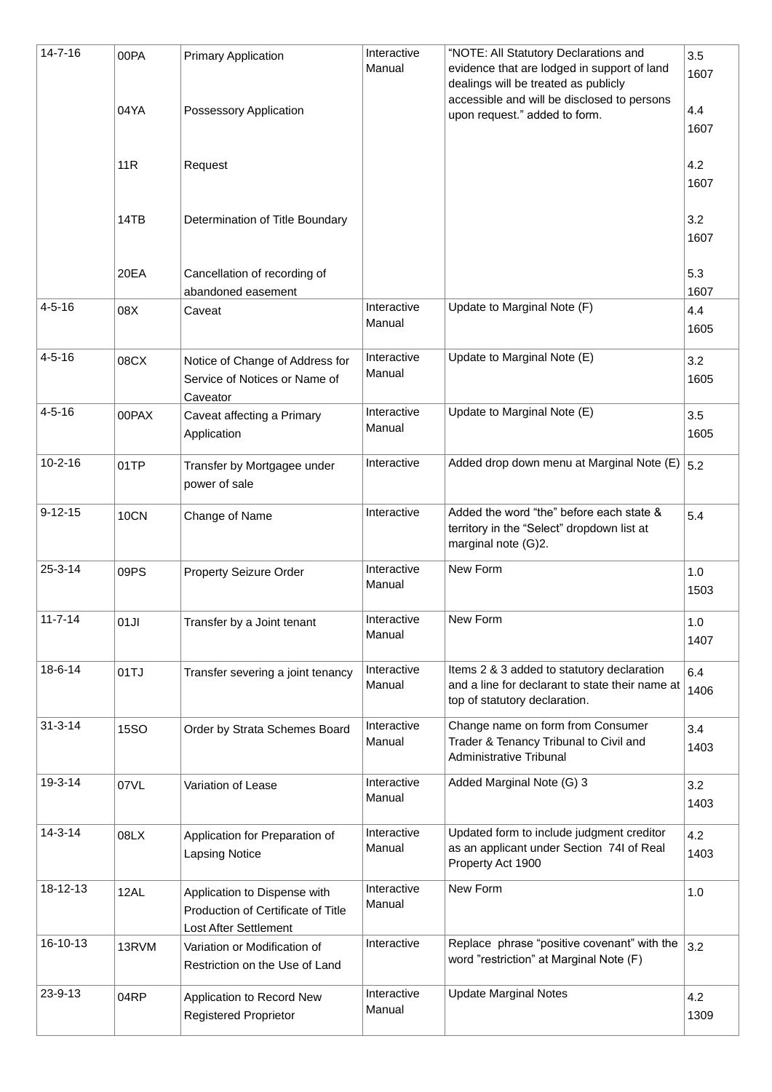| 14-7-16       | 00PA        | <b>Primary Application</b>                                                                  | Interactive<br>Manual | "NOTE: All Statutory Declarations and<br>evidence that are lodged in support of land<br>dealings will be treated as publicly   | 3.5<br>1607 |
|---------------|-------------|---------------------------------------------------------------------------------------------|-----------------------|--------------------------------------------------------------------------------------------------------------------------------|-------------|
|               | 04YA        | Possessory Application                                                                      |                       | accessible and will be disclosed to persons<br>upon request." added to form.                                                   | 4.4<br>1607 |
|               | 11R         | Request                                                                                     |                       |                                                                                                                                | 4.2<br>1607 |
|               | 14TB        | Determination of Title Boundary                                                             |                       |                                                                                                                                | 3.2<br>1607 |
|               | 20EA        | Cancellation of recording of<br>abandoned easement                                          |                       |                                                                                                                                | 5.3<br>1607 |
| $4 - 5 - 16$  | 08X         | Caveat                                                                                      | Interactive<br>Manual | Update to Marginal Note (F)                                                                                                    | 4.4<br>1605 |
| $4 - 5 - 16$  | 08CX        | Notice of Change of Address for<br>Service of Notices or Name of<br>Caveator                | Interactive<br>Manual | Update to Marginal Note (E)                                                                                                    | 3.2<br>1605 |
| $4 - 5 - 16$  | 00PAX       | Caveat affecting a Primary<br>Application                                                   | Interactive<br>Manual | Update to Marginal Note (E)                                                                                                    | 3.5<br>1605 |
| $10 - 2 - 16$ | 01TP        | Transfer by Mortgagee under<br>power of sale                                                | Interactive           | Added drop down menu at Marginal Note $(E)$ 5.2                                                                                |             |
| $9 - 12 - 15$ | <b>10CN</b> | Change of Name                                                                              | Interactive           | Added the word "the" before each state &<br>territory in the "Select" dropdown list at<br>marginal note (G)2.                  | 5.4         |
| $25 - 3 - 14$ | 09PS        | Property Seizure Order                                                                      | Interactive<br>Manual | New Form                                                                                                                       | 1.0<br>1503 |
| $11 - 7 - 14$ | 01JI        | Transfer by a Joint tenant                                                                  | Interactive<br>Manual | New Form                                                                                                                       | 1.0<br>1407 |
| $18 - 6 - 14$ | 01TJ        | Transfer severing a joint tenancy                                                           | Interactive<br>Manual | Items 2 & 3 added to statutory declaration<br>and a line for declarant to state their name at<br>top of statutory declaration. | 6.4<br>1406 |
| $31 - 3 - 14$ | <b>15SO</b> | Order by Strata Schemes Board                                                               | Interactive<br>Manual | Change name on form from Consumer<br>Trader & Tenancy Tribunal to Civil and<br>Administrative Tribunal                         | 3.4<br>1403 |
| 19-3-14       | 07VL        | Variation of Lease                                                                          | Interactive<br>Manual | Added Marginal Note (G) 3                                                                                                      | 3.2<br>1403 |
| 14-3-14       | 08LX        | Application for Preparation of<br><b>Lapsing Notice</b>                                     | Interactive<br>Manual | Updated form to include judgment creditor<br>as an applicant under Section 74I of Real<br>Property Act 1900                    | 4.2<br>1403 |
| 18-12-13      | 12AL        | Application to Dispense with<br>Production of Certificate of Title<br>Lost After Settlement | Interactive<br>Manual | New Form                                                                                                                       | 1.0         |
| 16-10-13      | 13RVM       | Variation or Modification of<br>Restriction on the Use of Land                              | Interactive           | Replace phrase "positive covenant" with the<br>word "restriction" at Marginal Note (F)                                         | 3.2         |
| 23-9-13       | 04RP        | Application to Record New<br><b>Registered Proprietor</b>                                   | Interactive<br>Manual | <b>Update Marginal Notes</b>                                                                                                   | 4.2<br>1309 |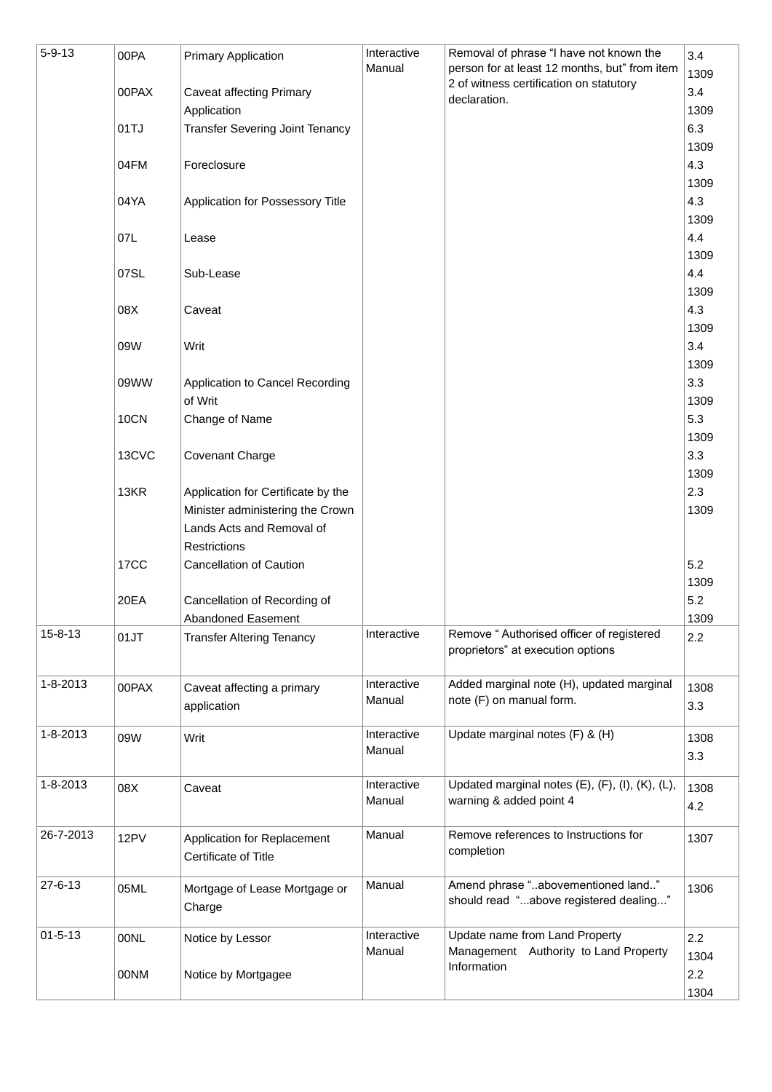| $5 - 9 - 13$   | 00PA        | <b>Primary Application</b>             | Interactive | Removal of phrase "I have not known the                                                  | 3.4         |
|----------------|-------------|----------------------------------------|-------------|------------------------------------------------------------------------------------------|-------------|
|                |             |                                        | Manual      | person for at least 12 months, but" from item<br>2 of witness certification on statutory | 1309        |
|                | 00PAX       | <b>Caveat affecting Primary</b>        |             | declaration.                                                                             | 3.4         |
|                |             | Application                            |             |                                                                                          | 1309        |
|                | 01TJ        | <b>Transfer Severing Joint Tenancy</b> |             |                                                                                          | 6.3         |
|                |             |                                        |             |                                                                                          | 1309        |
|                | 04FM        | Foreclosure                            |             |                                                                                          | 4.3         |
|                |             |                                        |             |                                                                                          | 1309        |
|                | 04YA        | Application for Possessory Title       |             |                                                                                          | 4.3         |
|                |             |                                        |             |                                                                                          | 1309        |
|                | 07L         | Lease                                  |             |                                                                                          | 4.4         |
|                |             |                                        |             |                                                                                          | 1309        |
|                | 07SL        | Sub-Lease                              |             |                                                                                          | 4.4         |
|                |             |                                        |             |                                                                                          | 1309        |
|                | 08X         | Caveat                                 |             |                                                                                          | 4.3         |
|                |             |                                        |             |                                                                                          | 1309        |
|                | 09W         | Writ                                   |             |                                                                                          | 3.4         |
|                |             |                                        |             |                                                                                          | 1309        |
|                | 09WW        | Application to Cancel Recording        |             |                                                                                          | 3.3         |
|                |             | of Writ                                |             |                                                                                          | 1309        |
|                | <b>10CN</b> | Change of Name                         |             |                                                                                          | 5.3         |
|                |             |                                        |             |                                                                                          | 1309        |
|                | 13CVC       | Covenant Charge                        |             |                                                                                          | 3.3         |
|                |             |                                        |             |                                                                                          | 1309        |
|                | 13KR        | Application for Certificate by the     |             |                                                                                          | 2.3         |
|                |             | Minister administering the Crown       |             |                                                                                          | 1309        |
|                |             | Lands Acts and Removal of              |             |                                                                                          |             |
|                |             | <b>Restrictions</b>                    |             |                                                                                          |             |
|                | <b>17CC</b> | <b>Cancellation of Caution</b>         |             |                                                                                          | 5.2         |
|                |             |                                        |             |                                                                                          | 1309        |
|                | 20EA        | Cancellation of Recording of           |             |                                                                                          | 5.2         |
| $15 - 8 - 13$  | 01JT        | Abandoned Easement                     | Interactive | Remove "Authorised officer of registered                                                 | 1309<br>2.2 |
|                |             | <b>Transfer Altering Tenancy</b>       |             | proprietors" at execution options                                                        |             |
|                |             |                                        |             |                                                                                          |             |
| 1-8-2013       | 00PAX       | Caveat affecting a primary             | Interactive | Added marginal note (H), updated marginal                                                | 1308        |
|                |             | application                            | Manual      | note (F) on manual form.                                                                 | 3.3         |
|                |             |                                        |             |                                                                                          |             |
| $1 - 8 - 2013$ | 09W         | Writ                                   | Interactive | Update marginal notes (F) & (H)                                                          | 1308        |
|                |             |                                        | Manual      |                                                                                          | 3.3         |
| 1-8-2013       |             |                                        | Interactive | Updated marginal notes (E), (F), (I), (K), (L),                                          |             |
|                | 08X         | Caveat                                 | Manual      | warning & added point 4                                                                  | 1308        |
|                |             |                                        |             |                                                                                          | 4.2         |
| 26-7-2013      | 12PV        | Application for Replacement            | Manual      | Remove references to Instructions for                                                    | 1307        |
|                |             | Certificate of Title                   |             | completion                                                                               |             |
|                |             |                                        |             |                                                                                          |             |
| 27-6-13        | 05ML        | Mortgage of Lease Mortgage or          | Manual      | Amend phrase "abovementioned land"                                                       | 1306        |
|                |             | Charge                                 |             | should read "above registered dealing"                                                   |             |
| $01 - 5 - 13$  |             |                                        | Interactive | Update name from Land Property                                                           |             |
|                | 00NL        | Notice by Lessor                       | Manual      | Management Authority to Land Property                                                    | 2.2         |
|                |             |                                        |             | Information                                                                              | 1304        |
|                | 00NM        | Notice by Mortgagee                    |             |                                                                                          | 2.2         |
|                |             |                                        |             |                                                                                          | 1304        |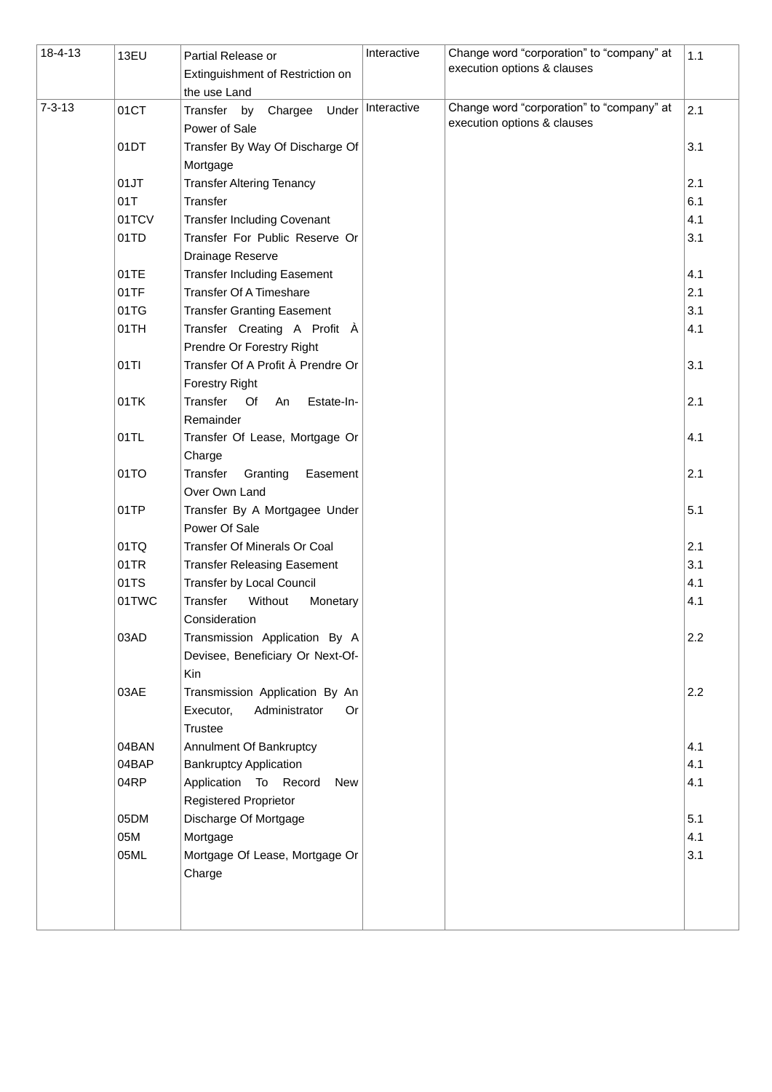| 18-4-13      | 13EU  | Partial Release or<br>Extinguishment of Restriction on<br>the use Land               | Interactive | Change word "corporation" to "company" at<br>execution options & clauses | 1.1 |
|--------------|-------|--------------------------------------------------------------------------------------|-------------|--------------------------------------------------------------------------|-----|
| $7 - 3 - 13$ | 01CT  | Transfer by<br>Chargee<br>Under<br>Power of Sale                                     | Interactive | Change word "corporation" to "company" at<br>execution options & clauses | 2.1 |
|              | 01DT  | Transfer By Way Of Discharge Of<br>Mortgage                                          |             |                                                                          | 3.1 |
|              | 01JT  | <b>Transfer Altering Tenancy</b>                                                     |             |                                                                          | 2.1 |
|              | 01T   | Transfer                                                                             |             |                                                                          | 6.1 |
|              | 01TCV | <b>Transfer Including Covenant</b>                                                   |             |                                                                          | 4.1 |
|              | 01TD  | Transfer For Public Reserve Or                                                       |             |                                                                          | 3.1 |
|              |       | Drainage Reserve                                                                     |             |                                                                          |     |
|              | 01TE  | <b>Transfer Including Easement</b>                                                   |             |                                                                          | 4.1 |
|              | 01TF  | <b>Transfer Of A Timeshare</b>                                                       |             |                                                                          | 2.1 |
|              | 01TG  | <b>Transfer Granting Easement</b>                                                    |             |                                                                          | 3.1 |
|              | 01TH  | Transfer Creating A Profit À                                                         |             |                                                                          | 4.1 |
|              |       | Prendre Or Forestry Right                                                            |             |                                                                          |     |
|              | 01TI  | Transfer Of A Profit À Prendre Or                                                    |             |                                                                          | 3.1 |
|              |       | <b>Forestry Right</b>                                                                |             |                                                                          |     |
|              | 01TK  | Transfer Of<br>An<br>Estate-In-<br>Remainder                                         |             |                                                                          | 2.1 |
|              | 01TL  | Transfer Of Lease, Mortgage Or<br>Charge                                             |             |                                                                          | 4.1 |
|              | 01TO  | Transfer<br>Granting<br>Easement<br>Over Own Land                                    |             |                                                                          | 2.1 |
|              | 01TP  | Transfer By A Mortgagee Under<br>Power Of Sale                                       |             |                                                                          | 5.1 |
|              | 01TQ  | Transfer Of Minerals Or Coal                                                         |             |                                                                          | 2.1 |
|              | 01TR  | <b>Transfer Releasing Easement</b>                                                   |             |                                                                          | 3.1 |
|              | 01TS  | Transfer by Local Council                                                            |             |                                                                          | 4.1 |
|              | 01TWC | Transfer<br>Without<br>Monetary<br>Consideration                                     |             |                                                                          | 4.1 |
|              | 03AD  | Transmission Application By A<br>Devisee, Beneficiary Or Next-Of-<br>Kin             |             |                                                                          | 2.2 |
|              | 03AE  | Transmission Application By An<br>Executor,<br>Administrator<br><b>Or</b><br>Trustee |             |                                                                          | 2.2 |
|              | 04BAN | Annulment Of Bankruptcy                                                              |             |                                                                          | 4.1 |
|              | 04BAP | <b>Bankruptcy Application</b>                                                        |             |                                                                          | 4.1 |
|              | 04RP  | Application To Record<br><b>New</b>                                                  |             |                                                                          | 4.1 |
|              |       | <b>Registered Proprietor</b>                                                         |             |                                                                          |     |
|              | 05DM  | Discharge Of Mortgage                                                                |             |                                                                          | 5.1 |
|              | 05M   | Mortgage                                                                             |             |                                                                          | 4.1 |
|              | 05ML  | Mortgage Of Lease, Mortgage Or<br>Charge                                             |             |                                                                          | 3.1 |
|              |       |                                                                                      |             |                                                                          |     |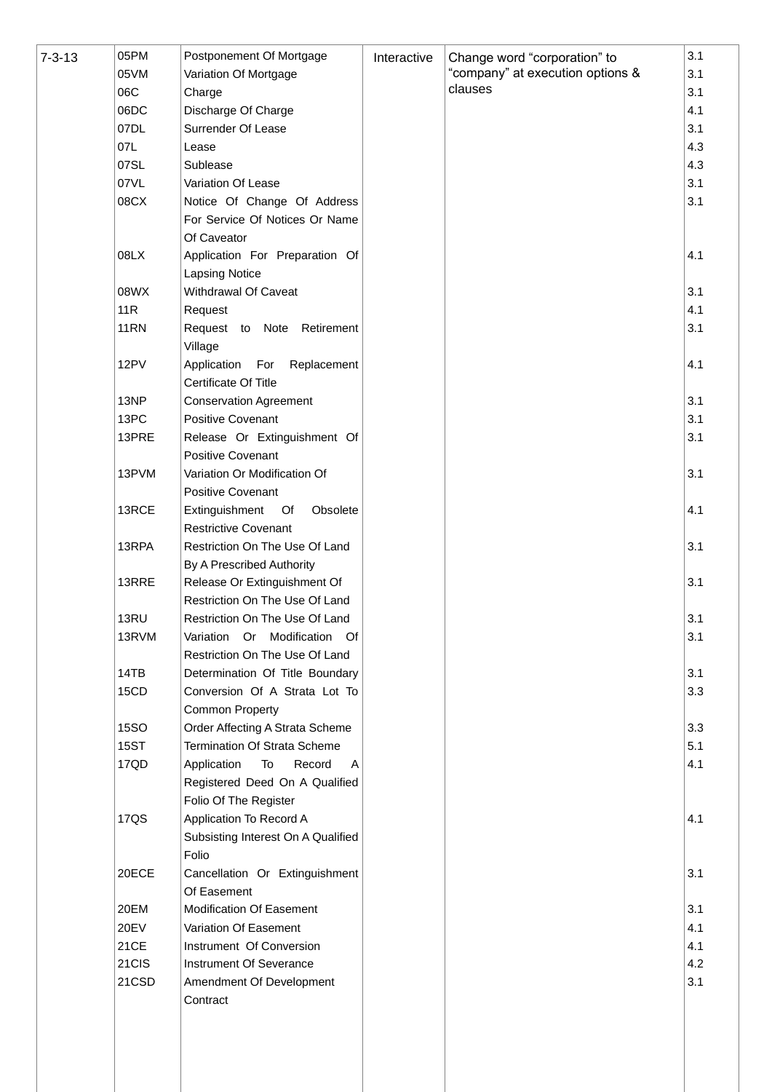| $7 - 3 - 13$ | 05PM<br>05VM | Postponement Of Mortgage<br>Variation Of Mortgage | Interactive | Change word "corporation" to<br>"company" at execution options & | 3.1<br>3.1 |
|--------------|--------------|---------------------------------------------------|-------------|------------------------------------------------------------------|------------|
|              | 06C          | Charge                                            |             | clauses                                                          | 3.1        |
|              | 06DC         | Discharge Of Charge                               |             |                                                                  | 4.1        |
|              | 07DL         | Surrender Of Lease                                |             |                                                                  | 3.1        |
|              | 07L          | Lease                                             |             |                                                                  | 4.3        |
|              | 07SL         | Sublease                                          |             |                                                                  | 4.3        |
|              | 07VL         | Variation Of Lease                                |             |                                                                  | 3.1        |
|              | 08CX         | Notice Of Change Of Address                       |             |                                                                  | 3.1        |
|              |              | For Service Of Notices Or Name                    |             |                                                                  |            |
|              |              | Of Caveator                                       |             |                                                                  |            |
|              | 08LX         | Application For Preparation Of                    |             |                                                                  | 4.1        |
|              |              | <b>Lapsing Notice</b>                             |             |                                                                  |            |
|              |              |                                                   |             |                                                                  | 3.1        |
|              | 08WX         | Withdrawal Of Caveat                              |             |                                                                  |            |
|              | 11R          | Request                                           |             |                                                                  | 4.1        |
|              | <b>11RN</b>  | Request to Note Retirement<br>Village             |             |                                                                  | 3.1        |
|              | 12PV         | For<br>Application<br>Replacement                 |             |                                                                  | 4.1        |
|              |              | Certificate Of Title                              |             |                                                                  |            |
|              | 13NP         | <b>Conservation Agreement</b>                     |             |                                                                  | 3.1        |
|              | 13PC         | Positive Covenant                                 |             |                                                                  | 3.1        |
|              | 13PRE        | Release Or Extinguishment Of                      |             |                                                                  | 3.1        |
|              |              | Positive Covenant                                 |             |                                                                  |            |
|              | 13PVM        | Variation Or Modification Of                      |             |                                                                  | 3.1        |
|              |              | Positive Covenant                                 |             |                                                                  |            |
|              | 13RCE        | Extinguishment Of<br>Obsolete                     |             |                                                                  | 4.1        |
|              |              | <b>Restrictive Covenant</b>                       |             |                                                                  |            |
|              | 13RPA        | Restriction On The Use Of Land                    |             |                                                                  | 3.1        |
|              |              | By A Prescribed Authority                         |             |                                                                  |            |
|              | 13RRE        | Release Or Extinguishment Of                      |             |                                                                  | 3.1        |
|              |              | Restriction On The Use Of Land                    |             |                                                                  |            |
|              | 13RU         | Restriction On The Use Of Land                    |             |                                                                  | 3.1        |
|              | 13RVM        | Variation Or Modification Of                      |             |                                                                  | 3.1        |
|              |              | Restriction On The Use Of Land                    |             |                                                                  |            |
|              | 14TB         | Determination Of Title Boundary                   |             |                                                                  | 3.1        |
|              | 15CD         | Conversion Of A Strata Lot To                     |             |                                                                  | 3.3        |
|              |              | Common Property                                   |             |                                                                  |            |
|              | <b>15SO</b>  | Order Affecting A Strata Scheme                   |             |                                                                  | 3.3        |
|              | <b>15ST</b>  | Termination Of Strata Scheme                      |             |                                                                  | 5.1        |
|              | 17QD         | Application<br>To<br>Record<br>Α                  |             |                                                                  | 4.1        |
|              |              | Registered Deed On A Qualified                    |             |                                                                  |            |
|              |              | Folio Of The Register                             |             |                                                                  |            |
|              | <b>17QS</b>  | Application To Record A                           |             |                                                                  | 4.1        |
|              |              | Subsisting Interest On A Qualified                |             |                                                                  |            |
|              |              | Folio                                             |             |                                                                  |            |
|              | 20ECE        | Cancellation Or Extinguishment                    |             |                                                                  | 3.1        |
|              |              | Of Easement                                       |             |                                                                  |            |
|              | 20EM         | Modification Of Easement                          |             |                                                                  | 3.1        |
|              | 20EV         | Variation Of Easement                             |             |                                                                  | 4.1        |
|              | 21CE         | Instrument Of Conversion                          |             |                                                                  | 4.1        |
|              | 21CIS        | Instrument Of Severance                           |             |                                                                  | 4.2        |
|              | 21CSD        | Amendment Of Development                          |             |                                                                  | 3.1        |
|              |              | Contract                                          |             |                                                                  |            |
|              |              |                                                   |             |                                                                  |            |
|              |              |                                                   |             |                                                                  |            |
|              |              |                                                   |             |                                                                  |            |
|              |              |                                                   |             |                                                                  |            |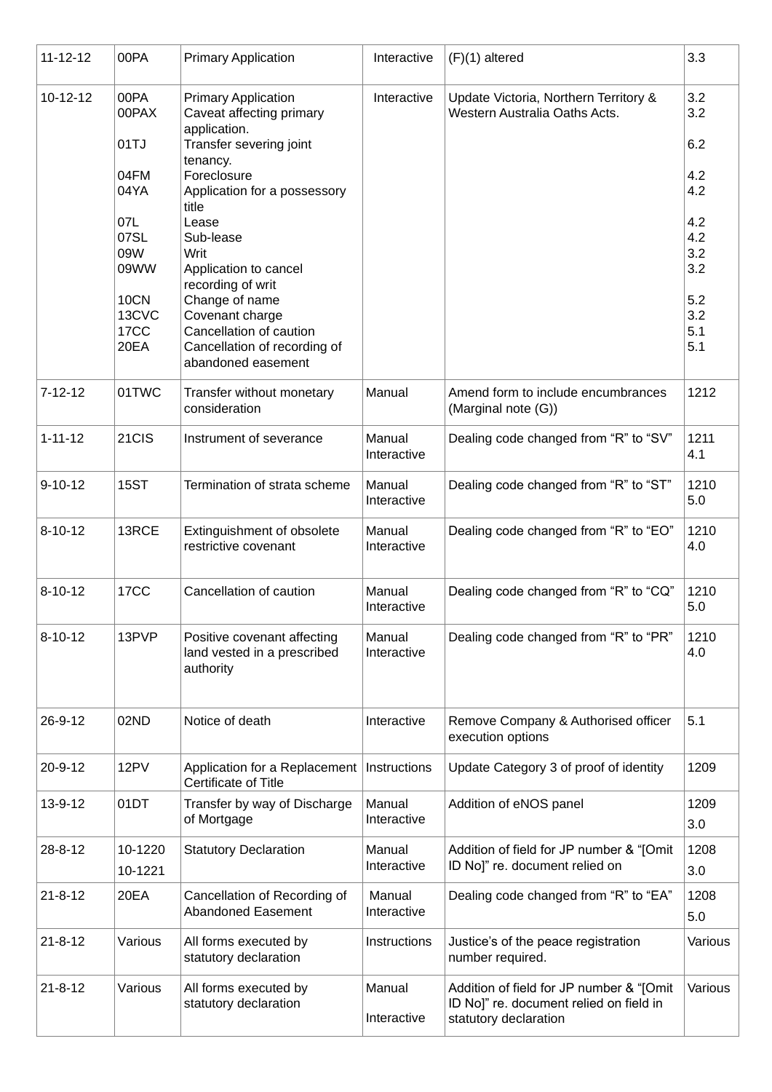| $11 - 12 - 12$ | 00PA                                                                                                 | <b>Primary Application</b>                                                                                                                                                                                                                                                                                                                                              | Interactive           | $(F)(1)$ altered                                                                                             | 3.3                                                                                     |
|----------------|------------------------------------------------------------------------------------------------------|-------------------------------------------------------------------------------------------------------------------------------------------------------------------------------------------------------------------------------------------------------------------------------------------------------------------------------------------------------------------------|-----------------------|--------------------------------------------------------------------------------------------------------------|-----------------------------------------------------------------------------------------|
| 10-12-12       | 00PA<br>00PAX<br>01TJ<br>04FM<br>04YA<br>07L<br>07SL<br>09W<br>09WW<br>10CN<br>13CVC<br>17CC<br>20EA | <b>Primary Application</b><br>Caveat affecting primary<br>application.<br>Transfer severing joint<br>tenancy.<br>Foreclosure<br>Application for a possessory<br>title<br>Lease<br>Sub-lease<br>Writ<br>Application to cancel<br>recording of writ<br>Change of name<br>Covenant charge<br>Cancellation of caution<br>Cancellation of recording of<br>abandoned easement | Interactive           | Update Victoria, Northern Territory &<br>Western Australia Oaths Acts.                                       | 3.2<br>3.2<br>6.2<br>4.2<br>4.2<br>4.2<br>4.2<br>3.2<br>3.2<br>5.2<br>3.2<br>5.1<br>5.1 |
| $7 - 12 - 12$  | 01TWC                                                                                                | Transfer without monetary<br>consideration                                                                                                                                                                                                                                                                                                                              | Manual                | Amend form to include encumbrances<br>(Marginal note (G))                                                    | 1212                                                                                    |
| $1 - 11 - 12$  | 21CIS                                                                                                | Instrument of severance                                                                                                                                                                                                                                                                                                                                                 | Manual<br>Interactive | Dealing code changed from "R" to "SV"                                                                        | 1211<br>4.1                                                                             |
| $9 - 10 - 12$  | <b>15ST</b>                                                                                          | Termination of strata scheme                                                                                                                                                                                                                                                                                                                                            | Manual<br>Interactive | Dealing code changed from "R" to "ST"                                                                        | 1210<br>5.0                                                                             |
| $8 - 10 - 12$  | 13RCE                                                                                                | Extinguishment of obsolete<br>restrictive covenant                                                                                                                                                                                                                                                                                                                      | Manual<br>Interactive | Dealing code changed from "R" to "EO"                                                                        | 1210<br>4.0                                                                             |
| $8 - 10 - 12$  | <b>17CC</b>                                                                                          | Cancellation of caution                                                                                                                                                                                                                                                                                                                                                 | Manual<br>Interactive | Dealing code changed from "R" to "CQ"                                                                        | 1210<br>5.0                                                                             |
| $8 - 10 - 12$  | 13PVP                                                                                                | Positive covenant affecting<br>land vested in a prescribed<br>authority                                                                                                                                                                                                                                                                                                 | Manual<br>Interactive | Dealing code changed from "R" to "PR"                                                                        | 1210<br>4.0                                                                             |
| $26 - 9 - 12$  | 02ND                                                                                                 | Notice of death                                                                                                                                                                                                                                                                                                                                                         | Interactive           | Remove Company & Authorised officer<br>execution options                                                     | 5.1                                                                                     |
| $20 - 9 - 12$  | 12PV                                                                                                 | Application for a Replacement<br>Certificate of Title                                                                                                                                                                                                                                                                                                                   | Instructions          | Update Category 3 of proof of identity                                                                       | 1209                                                                                    |
| 13-9-12        | 01DT                                                                                                 | Transfer by way of Discharge<br>of Mortgage                                                                                                                                                                                                                                                                                                                             | Manual<br>Interactive | Addition of eNOS panel                                                                                       | 1209<br>3.0                                                                             |
| $28 - 8 - 12$  | 10-1220<br>10-1221                                                                                   | <b>Statutory Declaration</b>                                                                                                                                                                                                                                                                                                                                            | Manual<br>Interactive | Addition of field for JP number & "[Omit<br>ID No]" re. document relied on                                   | 1208<br>3.0                                                                             |
| $21 - 8 - 12$  | 20EA                                                                                                 | Cancellation of Recording of<br><b>Abandoned Easement</b>                                                                                                                                                                                                                                                                                                               | Manual<br>Interactive | Dealing code changed from "R" to "EA"                                                                        | 1208<br>5.0                                                                             |
| $21 - 8 - 12$  | Various                                                                                              | All forms executed by<br>statutory declaration                                                                                                                                                                                                                                                                                                                          | Instructions          | Justice's of the peace registration<br>number required.                                                      | Various                                                                                 |
| $21 - 8 - 12$  | Various                                                                                              | All forms executed by<br>statutory declaration                                                                                                                                                                                                                                                                                                                          | Manual<br>Interactive | Addition of field for JP number & "[Omit<br>ID No]" re. document relied on field in<br>statutory declaration | Various                                                                                 |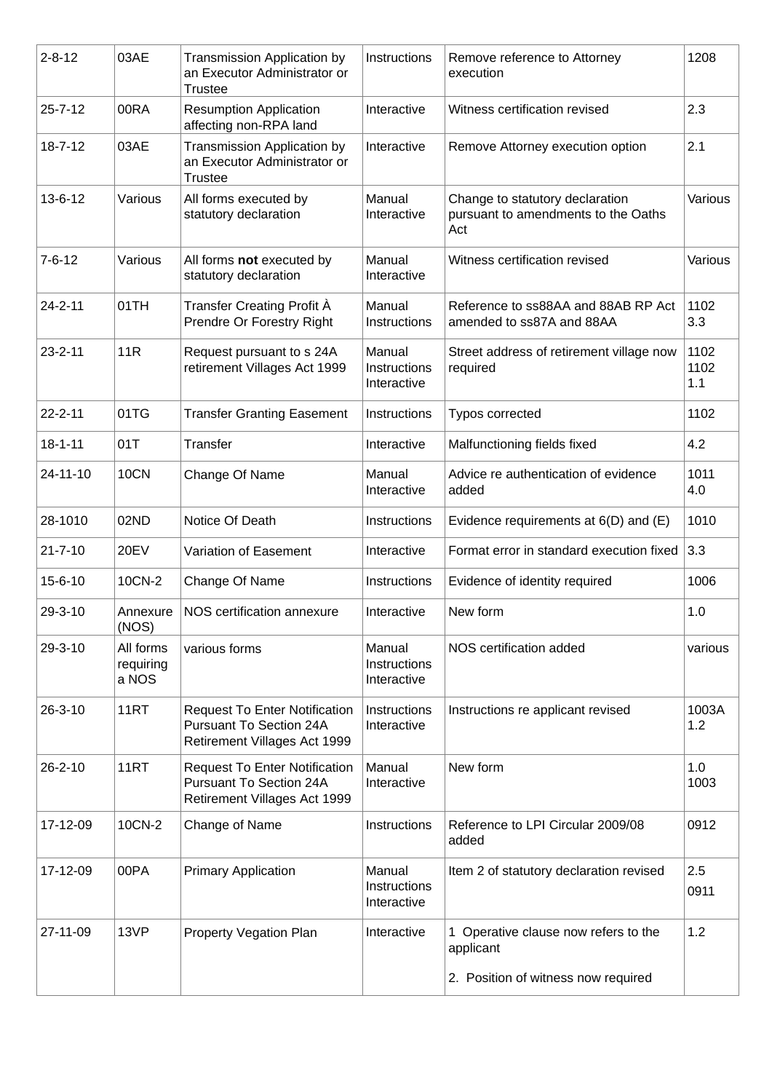| $2 - 8 - 12$  | 03AE                            | <b>Transmission Application by</b><br>an Executor Administrator or<br><b>Trustee</b>                   | Instructions                          | Remove reference to Attorney<br>execution                                     | 1208                |
|---------------|---------------------------------|--------------------------------------------------------------------------------------------------------|---------------------------------------|-------------------------------------------------------------------------------|---------------------|
| $25 - 7 - 12$ | 00RA                            | <b>Resumption Application</b><br>affecting non-RPA land                                                | Interactive                           | Witness certification revised                                                 | 2.3                 |
| $18 - 7 - 12$ | 03AE                            | <b>Transmission Application by</b><br>an Executor Administrator or<br><b>Trustee</b>                   | Interactive                           | Remove Attorney execution option                                              | 2.1                 |
| $13 - 6 - 12$ | Various                         | All forms executed by<br>statutory declaration                                                         | Manual<br>Interactive                 | Change to statutory declaration<br>pursuant to amendments to the Oaths<br>Act | Various             |
| $7 - 6 - 12$  | Various                         | All forms not executed by<br>statutory declaration                                                     | Manual<br>Interactive                 | Witness certification revised                                                 | Various             |
| $24 - 2 - 11$ | 01TH                            | Transfer Creating Profit A<br>Prendre Or Forestry Right                                                | Manual<br>Instructions                | Reference to ss88AA and 88AB RP Act<br>amended to ss87A and 88AA              | 1102<br>3.3         |
| $23 - 2 - 11$ | 11R                             | Request pursuant to s 24A<br>retirement Villages Act 1999                                              | Manual<br>Instructions<br>Interactive | Street address of retirement village now<br>required                          | 1102<br>1102<br>1.1 |
| $22 - 2 - 11$ | 01TG                            | <b>Transfer Granting Easement</b>                                                                      | Instructions                          | Typos corrected                                                               | 1102                |
| $18 - 1 - 11$ | 01T                             | Transfer                                                                                               | Interactive                           | Malfunctioning fields fixed                                                   | 4.2                 |
| 24-11-10      | 10CN                            | Change Of Name                                                                                         | Manual<br>Interactive                 | Advice re authentication of evidence<br>added                                 | 1011<br>4.0         |
| 28-1010       | 02ND                            | Notice Of Death                                                                                        | Instructions                          | Evidence requirements at $6(D)$ and $(E)$                                     | 1010                |
| $21 - 7 - 10$ | <b>20EV</b>                     | Variation of Easement                                                                                  | Interactive                           | Format error in standard execution fixed                                      | 3.3                 |
| $15 - 6 - 10$ | 10CN-2                          | Change Of Name                                                                                         | Instructions                          | Evidence of identity required                                                 | 1006                |
| 29-3-10       | Annexure<br>(NOS)               | NOS certification annexure                                                                             | Interactive                           | New form                                                                      | 1.0                 |
| $29 - 3 - 10$ | All forms<br>requiring<br>a NOS | various forms                                                                                          | Manual<br>Instructions<br>Interactive | NOS certification added                                                       | various             |
| $26 - 3 - 10$ | 11RT                            | <b>Request To Enter Notification</b><br><b>Pursuant To Section 24A</b><br>Retirement Villages Act 1999 | Instructions<br>Interactive           | Instructions re applicant revised                                             | 1003A<br>1.2        |
| $26 - 2 - 10$ | 11RT                            | <b>Request To Enter Notification</b><br><b>Pursuant To Section 24A</b><br>Retirement Villages Act 1999 | Manual<br>Interactive                 | New form                                                                      | 1.0<br>1003         |
| 17-12-09      | 10CN-2                          | Change of Name                                                                                         | Instructions                          | Reference to LPI Circular 2009/08<br>added                                    | 0912                |
| 17-12-09      | 00PA                            | <b>Primary Application</b>                                                                             | Manual<br>Instructions<br>Interactive | Item 2 of statutory declaration revised                                       | 2.5<br>0911         |
| 27-11-09      | 13VP                            | Property Vegation Plan                                                                                 | Interactive                           | 1 Operative clause now refers to the<br>applicant                             | 1.2                 |
|               |                                 |                                                                                                        |                                       | 2. Position of witness now required                                           |                     |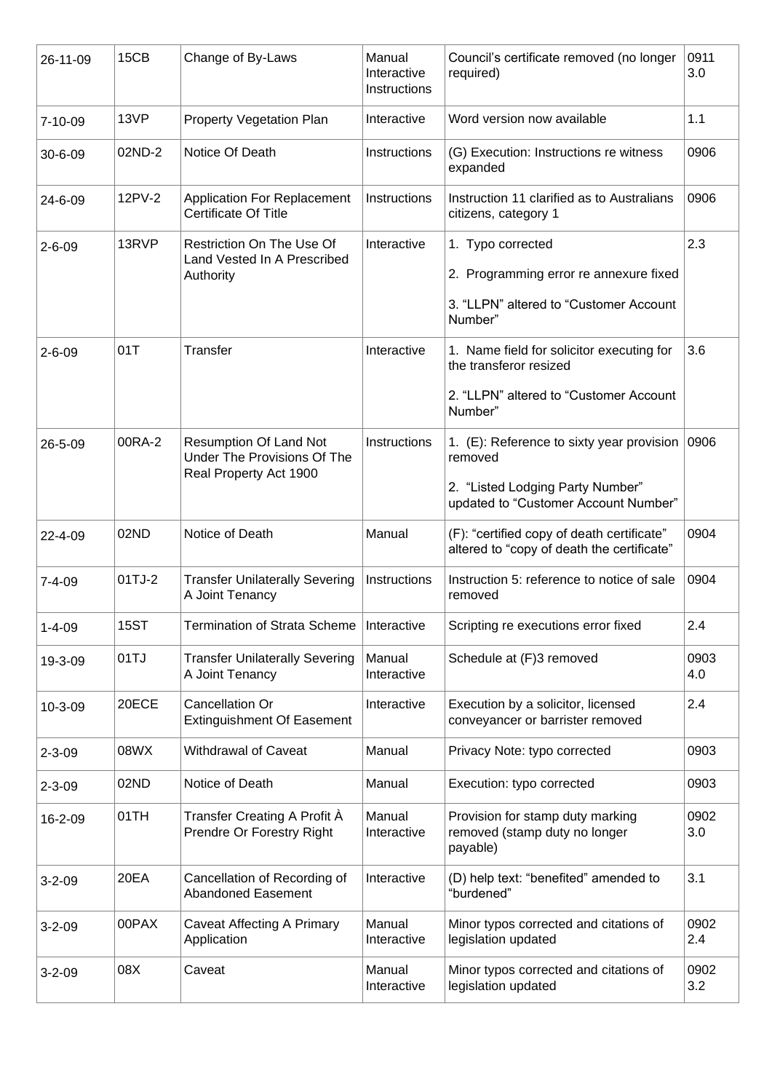| 26-11-09      | 15CB        | Change of By-Laws                                                                      | Manual<br>Interactive<br>Instructions | Council's certificate removed (no longer<br>required)                                                                            | 0911<br>3.0 |
|---------------|-------------|----------------------------------------------------------------------------------------|---------------------------------------|----------------------------------------------------------------------------------------------------------------------------------|-------------|
| $7 - 10 - 09$ | 13VP        | <b>Property Vegetation Plan</b>                                                        | Interactive                           | Word version now available                                                                                                       | 1.1         |
| $30 - 6 - 09$ | 02ND-2      | Notice Of Death                                                                        | Instructions                          | (G) Execution: Instructions re witness<br>expanded                                                                               | 0906        |
| 24-6-09       | 12PV-2      | <b>Application For Replacement</b><br><b>Certificate Of Title</b>                      | Instructions                          | Instruction 11 clarified as to Australians<br>citizens, category 1                                                               | 0906        |
| $2 - 6 - 09$  | 13RVP       | Restriction On The Use Of<br>Land Vested In A Prescribed<br>Authority                  | Interactive                           | 1. Typo corrected<br>2. Programming error re annexure fixed<br>3. "LLPN" altered to "Customer Account<br>Number"                 | 2.3         |
| $2 - 6 - 09$  | 01T         | <b>Transfer</b>                                                                        | Interactive                           | 1. Name field for solicitor executing for<br>the transferor resized<br>2. "LLPN" altered to "Customer Account<br>Number"         | 3.6         |
| 26-5-09       | 00RA-2      | <b>Resumption Of Land Not</b><br>Under The Provisions Of The<br>Real Property Act 1900 | Instructions                          | 1. (E): Reference to sixty year provision<br>removed<br>2. "Listed Lodging Party Number"<br>updated to "Customer Account Number" | 0906        |
| 22-4-09       | 02ND        | Notice of Death                                                                        | Manual                                | (F): "certified copy of death certificate"<br>altered to "copy of death the certificate"                                         | 0904        |
| $7 - 4 - 09$  | 01TJ-2      | <b>Transfer Unilaterally Severing</b><br>A Joint Tenancy                               | Instructions                          | Instruction 5: reference to notice of sale<br>removed                                                                            | 0904        |
| $1 - 4 - 09$  | <b>15ST</b> | Termination of Strata Scheme   Interactive                                             |                                       | Scripting re executions error fixed                                                                                              | 2.4         |
| 19-3-09       | 01TJ        | <b>Transfer Unilaterally Severing</b><br>A Joint Tenancy                               | Manual<br>Interactive                 | Schedule at (F)3 removed                                                                                                         | 0903<br>4.0 |
| 10-3-09       | 20ECE       | Cancellation Or<br><b>Extinguishment Of Easement</b>                                   | Interactive                           | Execution by a solicitor, licensed<br>conveyancer or barrister removed                                                           | 2.4         |
| $2 - 3 - 09$  | 08WX        | Withdrawal of Caveat                                                                   | Manual                                | Privacy Note: typo corrected                                                                                                     | 0903        |
| $2 - 3 - 09$  | 02ND        | Notice of Death                                                                        | Manual                                | Execution: typo corrected                                                                                                        | 0903        |
| 16-2-09       | 01TH        | Transfer Creating A Profit À<br>Prendre Or Forestry Right                              | Manual<br>Interactive                 | Provision for stamp duty marking<br>removed (stamp duty no longer<br>payable)                                                    | 0902<br>3.0 |
| $3 - 2 - 09$  | 20EA        | Cancellation of Recording of<br><b>Abandoned Easement</b>                              | Interactive                           | (D) help text: "benefited" amended to<br>"burdened"                                                                              | 3.1         |
| $3 - 2 - 09$  | 00PAX       | <b>Caveat Affecting A Primary</b><br>Application                                       | Manual<br>Interactive                 | Minor typos corrected and citations of<br>legislation updated                                                                    | 0902<br>2.4 |
| $3 - 2 - 09$  | 08X         | Caveat                                                                                 | Manual<br>Interactive                 | Minor typos corrected and citations of<br>legislation updated                                                                    | 0902<br>3.2 |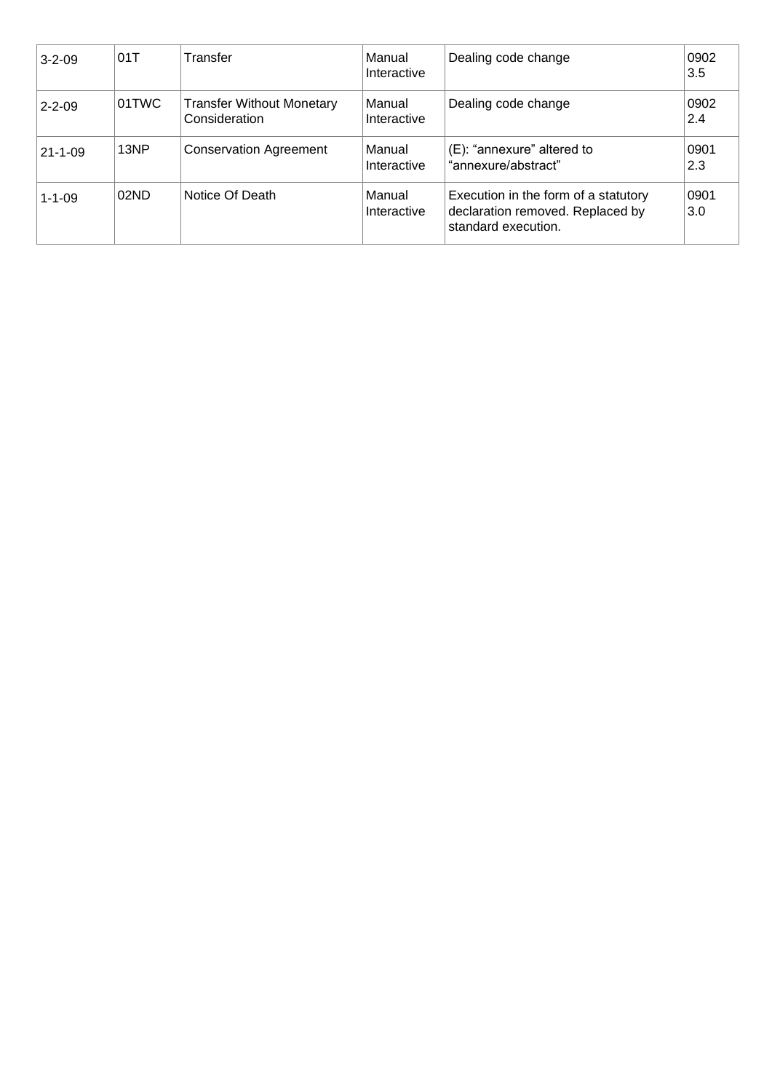| $3 - 2 - 09$  | 01T   | Transfer                                          | Manual<br>Interactive | Dealing code change                                                                             | 0902<br>3.5 |
|---------------|-------|---------------------------------------------------|-----------------------|-------------------------------------------------------------------------------------------------|-------------|
| $2 - 2 - 09$  | 01TWC | <b>Transfer Without Monetary</b><br>Consideration | Manual<br>Interactive | Dealing code change                                                                             | 0902<br>2.4 |
| $21 - 1 - 09$ | 13NP  | <b>Conservation Agreement</b>                     | Manual<br>Interactive | (E): "annexure" altered to<br>"annexure/abstract"                                               | 0901<br>2.3 |
| $1 - 1 - 09$  | 02ND  | Notice Of Death                                   | Manual<br>Interactive | Execution in the form of a statutory<br>declaration removed. Replaced by<br>standard execution. | 0901<br>3.0 |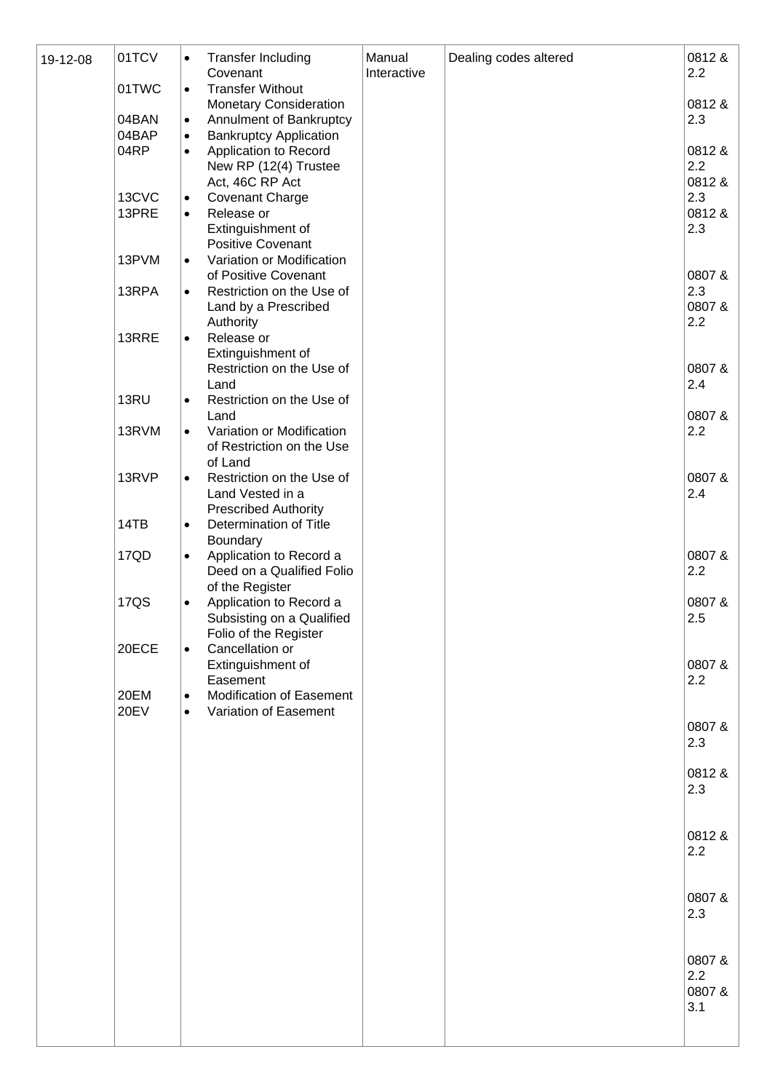| 19-12-08 | 01TCV         | $\bullet$              | <b>Transfer Including</b><br>Covenant                    | Manual<br>Interactive | Dealing codes altered | 0812&<br>2.2  |
|----------|---------------|------------------------|----------------------------------------------------------|-----------------------|-----------------------|---------------|
|          | 01TWC         | $\bullet$              | <b>Transfer Without</b><br><b>Monetary Consideration</b> |                       |                       | 0812&         |
|          | 04BAN         | $\bullet$              | Annulment of Bankruptcy                                  |                       |                       | 2.3           |
|          | 04BAP<br>04RP | $\bullet$<br>$\bullet$ | <b>Bankruptcy Application</b><br>Application to Record   |                       |                       | 0812&         |
|          |               |                        | New RP (12(4) Trustee                                    |                       |                       | 2.2           |
|          | 13CVC         | $\bullet$              | Act, 46C RP Act<br><b>Covenant Charge</b>                |                       |                       | 0812 &<br>2.3 |
|          | 13PRE         | $\bullet$              | Release or                                               |                       |                       | 0812&         |
|          |               |                        | Extinguishment of<br><b>Positive Covenant</b>            |                       |                       | 2.3           |
|          | 13PVM         | $\bullet$              | Variation or Modification                                |                       |                       |               |
|          | 13RPA         |                        | of Positive Covenant<br>Restriction on the Use of        |                       |                       | 0807&<br>2.3  |
|          |               | $\bullet$              | Land by a Prescribed                                     |                       |                       | 0807&         |
|          |               |                        | Authority                                                |                       |                       | 2.2           |
|          | 13RRE         | $\bullet$              | Release or<br>Extinguishment of                          |                       |                       |               |
|          |               |                        | Restriction on the Use of                                |                       |                       | 0807&         |
|          | 13RU          | $\bullet$              | Land<br>Restriction on the Use of                        |                       |                       | 2.4           |
|          |               |                        | Land                                                     |                       |                       | 0807&         |
|          | 13RVM         | $\bullet$              | Variation or Modification<br>of Restriction on the Use   |                       |                       | 2.2           |
|          |               |                        | of Land                                                  |                       |                       |               |
|          | 13RVP         | $\bullet$              | Restriction on the Use of<br>Land Vested in a            |                       |                       | 0807&<br>2.4  |
|          |               |                        | <b>Prescribed Authority</b>                              |                       |                       |               |
|          | 14TB          | $\bullet$              | Determination of Title                                   |                       |                       |               |
|          | 17QD          | $\bullet$              | Boundary<br>Application to Record a                      |                       |                       | 0807&         |
|          |               |                        | Deed on a Qualified Folio                                |                       |                       | 2.2           |
|          | <b>17QS</b>   | $\bullet$              | of the Register<br>Application to Record a               |                       |                       | 0807&         |
|          |               |                        | Subsisting on a Qualified                                |                       |                       | 2.5           |
|          | 20ECE         | $\bullet$              | Folio of the Register<br>Cancellation or                 |                       |                       |               |
|          |               |                        | Extinguishment of                                        |                       |                       | 0807&         |
|          | 20EM          | $\bullet$              | Easement<br>Modification of Easement                     |                       |                       | 2.2           |
|          | <b>20EV</b>   | $\bullet$              | Variation of Easement                                    |                       |                       |               |
|          |               |                        |                                                          |                       |                       | 0807&<br>2.3  |
|          |               |                        |                                                          |                       |                       |               |
|          |               |                        |                                                          |                       |                       | 0812 &<br>2.3 |
|          |               |                        |                                                          |                       |                       |               |
|          |               |                        |                                                          |                       |                       | 0812 &        |
|          |               |                        |                                                          |                       |                       | 2.2           |
|          |               |                        |                                                          |                       |                       |               |
|          |               |                        |                                                          |                       |                       | 0807&         |
|          |               |                        |                                                          |                       |                       | 2.3           |
|          |               |                        |                                                          |                       |                       |               |
|          |               |                        |                                                          |                       |                       | 0807 &        |
|          |               |                        |                                                          |                       |                       | 2.2<br>0807&  |
|          |               |                        |                                                          |                       |                       | 3.1           |
|          |               |                        |                                                          |                       |                       |               |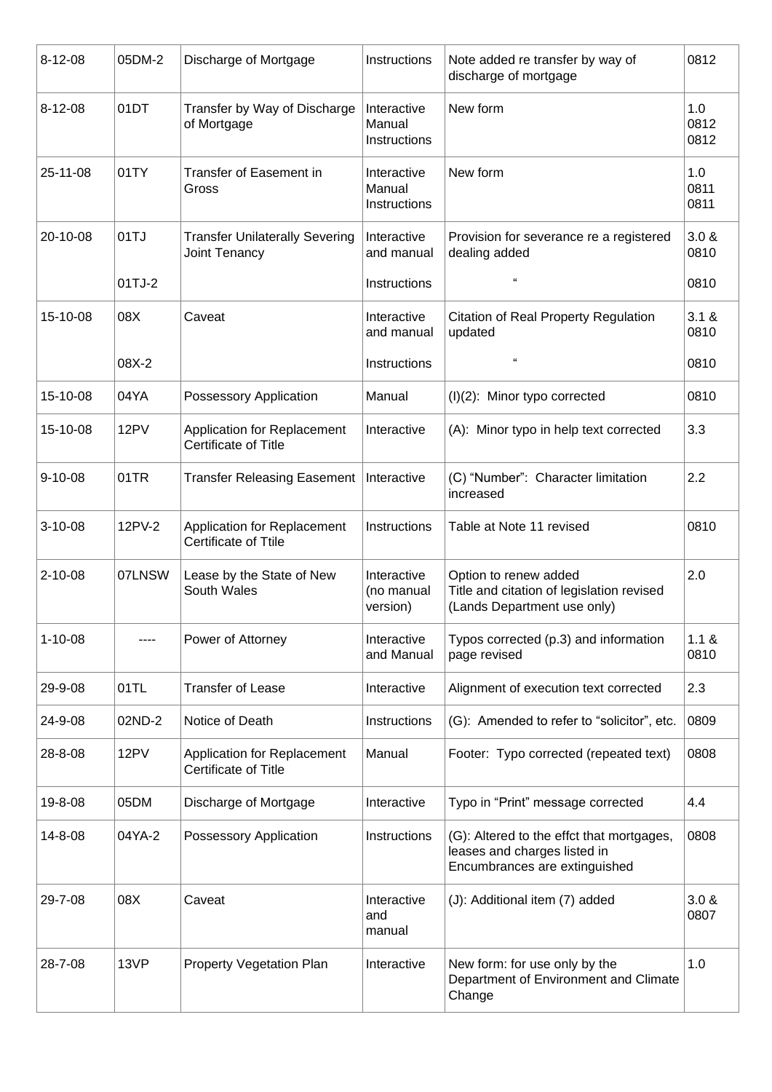| $8 - 12 - 08$ | 05DM-2 | Discharge of Mortgage                                  | Instructions                          | Note added re transfer by way of<br>discharge of mortgage                                                  | 0812                |
|---------------|--------|--------------------------------------------------------|---------------------------------------|------------------------------------------------------------------------------------------------------------|---------------------|
| $8 - 12 - 08$ | 01DT   | Transfer by Way of Discharge<br>of Mortgage            | Interactive<br>Manual<br>Instructions | New form                                                                                                   | 1.0<br>0812<br>0812 |
| 25-11-08      | 01TY   | Transfer of Easement in<br>Gross                       | Interactive<br>Manual<br>Instructions | New form                                                                                                   | 1.0<br>0811<br>0811 |
| 20-10-08      | 01TJ   | <b>Transfer Unilaterally Severing</b><br>Joint Tenancy | Interactive<br>and manual             | Provision for severance re a registered<br>dealing added                                                   | 3.0 &<br>0810       |
|               | 01TJ-2 |                                                        | Instructions                          | "                                                                                                          | 0810                |
| 15-10-08      | 08X    | Caveat                                                 | Interactive<br>and manual             | <b>Citation of Real Property Regulation</b><br>updated                                                     | 3.1 &<br>0810       |
|               | 08X-2  |                                                        | Instructions                          | "                                                                                                          | 0810                |
| 15-10-08      | 04YA   | Possessory Application                                 | Manual                                | (I)(2): Minor typo corrected                                                                               | 0810                |
| 15-10-08      | 12PV   | Application for Replacement<br>Certificate of Title    | Interactive                           | (A): Minor typo in help text corrected                                                                     | 3.3                 |
| $9 - 10 - 08$ | 01TR   | <b>Transfer Releasing Easement</b>                     | Interactive                           | (C) "Number": Character limitation<br>increased                                                            | 2.2                 |
| $3 - 10 - 08$ | 12PV-2 | Application for Replacement<br>Certificate of Ttile    | Instructions                          | Table at Note 11 revised                                                                                   | 0810                |
| $2 - 10 - 08$ | 07LNSW | Lease by the State of New<br>South Wales               | Interactive<br>(no manual<br>version) | Option to renew added<br>Title and citation of legislation revised<br>(Lands Department use only)          | 2.0                 |
| $1 - 10 - 08$ |        | Power of Attorney                                      | Interactive<br>and Manual             | Typos corrected (p.3) and information<br>page revised                                                      | 1.1 &<br>0810       |
| 29-9-08       | 01TL   | <b>Transfer of Lease</b>                               | Interactive                           | Alignment of execution text corrected                                                                      | 2.3                 |
| 24-9-08       | 02ND-2 | Notice of Death                                        | Instructions                          | (G): Amended to refer to "solicitor", etc.                                                                 | 0809                |
| 28-8-08       | 12PV   | Application for Replacement<br>Certificate of Title    | Manual                                | Footer: Typo corrected (repeated text)                                                                     | 0808                |
| 19-8-08       | 05DM   | Discharge of Mortgage                                  | Interactive                           | Typo in "Print" message corrected                                                                          | 4.4                 |
| 14-8-08       | 04YA-2 | Possessory Application                                 | Instructions                          | (G): Altered to the effct that mortgages,<br>leases and charges listed in<br>Encumbrances are extinguished | 0808                |
| 29-7-08       | 08X    | Caveat                                                 | Interactive<br>and<br>manual          | (J): Additional item (7) added                                                                             | 3.0 &<br>0807       |
| 28-7-08       | 13VP   | <b>Property Vegetation Plan</b>                        | Interactive                           | New form: for use only by the<br>Department of Environment and Climate<br>Change                           | 1.0                 |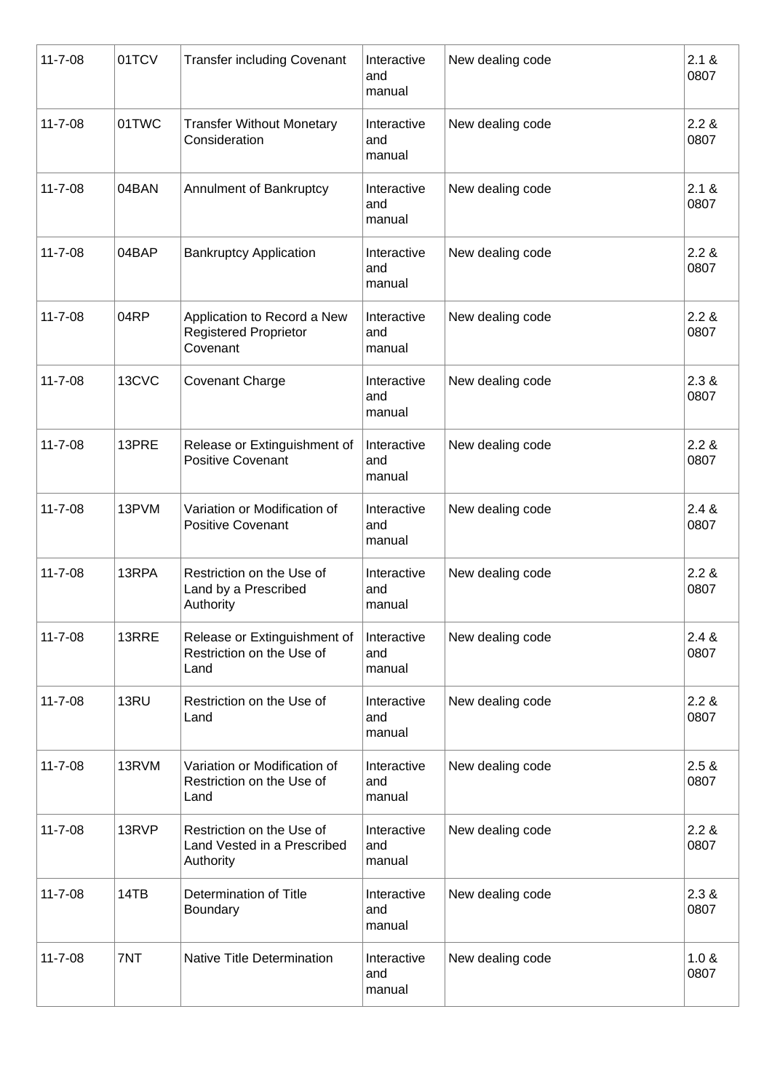| $11 - 7 - 08$ | 01TCV | <b>Transfer including Covenant</b>                                      | Interactive<br>and<br>manual | New dealing code | 2.1 &<br>0807 |
|---------------|-------|-------------------------------------------------------------------------|------------------------------|------------------|---------------|
| $11 - 7 - 08$ | 01TWC | <b>Transfer Without Monetary</b><br>Consideration                       | Interactive<br>and<br>manual | New dealing code | 2.2 &<br>0807 |
| $11 - 7 - 08$ | 04BAN | Annulment of Bankruptcy                                                 | Interactive<br>and<br>manual | New dealing code | 2.1 &<br>0807 |
| $11 - 7 - 08$ | 04BAP | <b>Bankruptcy Application</b>                                           | Interactive<br>and<br>manual | New dealing code | 2.2 &<br>0807 |
| $11 - 7 - 08$ | 04RP  | Application to Record a New<br><b>Registered Proprietor</b><br>Covenant | Interactive<br>and<br>manual | New dealing code | 2.2 &<br>0807 |
| $11 - 7 - 08$ | 13CVC | <b>Covenant Charge</b>                                                  | Interactive<br>and<br>manual | New dealing code | 2.3 &<br>0807 |
| $11 - 7 - 08$ | 13PRE | Release or Extinguishment of<br><b>Positive Covenant</b>                | Interactive<br>and<br>manual | New dealing code | 2.2 &<br>0807 |
| $11 - 7 - 08$ | 13PVM | Variation or Modification of<br><b>Positive Covenant</b>                | Interactive<br>and<br>manual | New dealing code | 2.4 &<br>0807 |
| $11 - 7 - 08$ | 13RPA | Restriction on the Use of<br>Land by a Prescribed<br>Authority          | Interactive<br>and<br>manual | New dealing code | 2.2 &<br>0807 |
| $11 - 7 - 08$ | 13RRE | Release or Extinguishment of<br>Restriction on the Use of<br>Land       | Interactive<br>and<br>manual | New dealing code | 2.4 &<br>0807 |
| $11 - 7 - 08$ | 13RU  | Restriction on the Use of<br>Land                                       | Interactive<br>and<br>manual | New dealing code | 2.2 &<br>0807 |
| $11 - 7 - 08$ | 13RVM | Variation or Modification of<br>Restriction on the Use of<br>Land       | Interactive<br>and<br>manual | New dealing code | 2.5 &<br>0807 |
| $11 - 7 - 08$ | 13RVP | Restriction on the Use of<br>Land Vested in a Prescribed<br>Authority   | Interactive<br>and<br>manual | New dealing code | 2.2 &<br>0807 |
| $11 - 7 - 08$ | 14TB  | Determination of Title<br>Boundary                                      | Interactive<br>and<br>manual | New dealing code | 2.3 &<br>0807 |
| $11 - 7 - 08$ | 7NT   | <b>Native Title Determination</b>                                       | Interactive<br>and<br>manual | New dealing code | 1.0 &<br>0807 |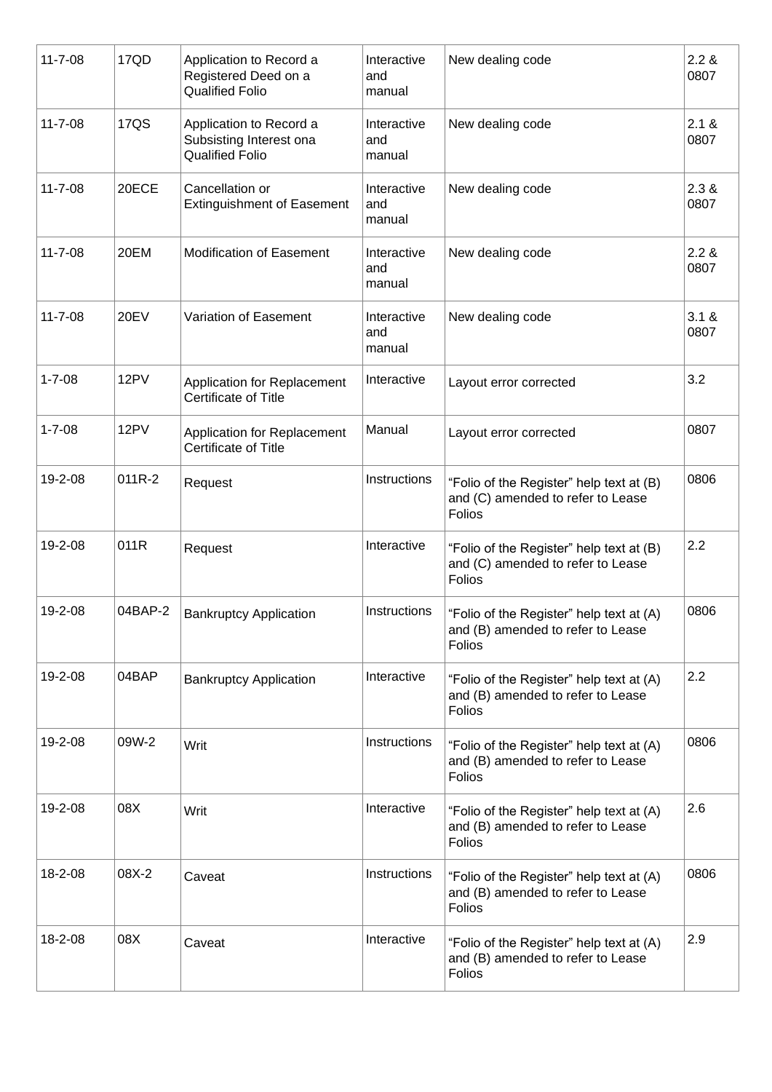| $11 - 7 - 08$ | 17QD        | Application to Record a<br>Registered Deed on a<br><b>Qualified Folio</b>    | Interactive<br>and<br>manual | New dealing code                                                                               | 2.2 &<br>0807 |
|---------------|-------------|------------------------------------------------------------------------------|------------------------------|------------------------------------------------------------------------------------------------|---------------|
| $11 - 7 - 08$ | <b>17QS</b> | Application to Record a<br>Subsisting Interest ona<br><b>Qualified Folio</b> | Interactive<br>and<br>manual | New dealing code                                                                               | 2.1 &<br>0807 |
| $11 - 7 - 08$ | 20ECE       | Cancellation or<br><b>Extinguishment of Easement</b>                         | Interactive<br>and<br>manual | New dealing code                                                                               | 2.3 &<br>0807 |
| $11 - 7 - 08$ | 20EM        | <b>Modification of Easement</b>                                              | Interactive<br>and<br>manual | New dealing code                                                                               | 2.2 &<br>0807 |
| $11 - 7 - 08$ | <b>20EV</b> | Variation of Easement                                                        | Interactive<br>and<br>manual | New dealing code                                                                               | 3.1 &<br>0807 |
| $1 - 7 - 08$  | 12PV        | Application for Replacement<br>Certificate of Title                          | Interactive                  | Layout error corrected                                                                         | 3.2           |
| $1 - 7 - 08$  | 12PV        | Application for Replacement<br>Certificate of Title                          | Manual                       | Layout error corrected                                                                         | 0807          |
| 19-2-08       | 011R-2      | Request                                                                      | Instructions                 | "Folio of the Register" help text at (B)<br>and (C) amended to refer to Lease<br>Folios        | 0806          |
| 19-2-08       | 011R        | Request                                                                      | Interactive                  | "Folio of the Register" help text at (B)<br>and (C) amended to refer to Lease<br>Folios        | 2.2           |
| 19-2-08       | 04BAP-2     | <b>Bankruptcy Application</b>                                                | Instructions                 | "Folio of the Register" help text at (A)<br>and (B) amended to refer to Lease<br><b>Folios</b> | 0806          |
| 19-2-08       | 04BAP       | <b>Bankruptcy Application</b>                                                | Interactive                  | "Folio of the Register" help text at (A)<br>and (B) amended to refer to Lease<br>Folios        | 2.2           |
| 19-2-08       | 09W-2       | Writ                                                                         | Instructions                 | "Folio of the Register" help text at (A)<br>and (B) amended to refer to Lease<br>Folios        | 0806          |
| 19-2-08       | 08X         | Writ                                                                         | Interactive                  | "Folio of the Register" help text at (A)<br>and (B) amended to refer to Lease<br>Folios        | 2.6           |
| 18-2-08       | 08X-2       | Caveat                                                                       | Instructions                 | "Folio of the Register" help text at (A)<br>and (B) amended to refer to Lease<br>Folios        | 0806          |
| 18-2-08       | 08X         | Caveat                                                                       | Interactive                  | "Folio of the Register" help text at (A)<br>and (B) amended to refer to Lease<br>Folios        | 2.9           |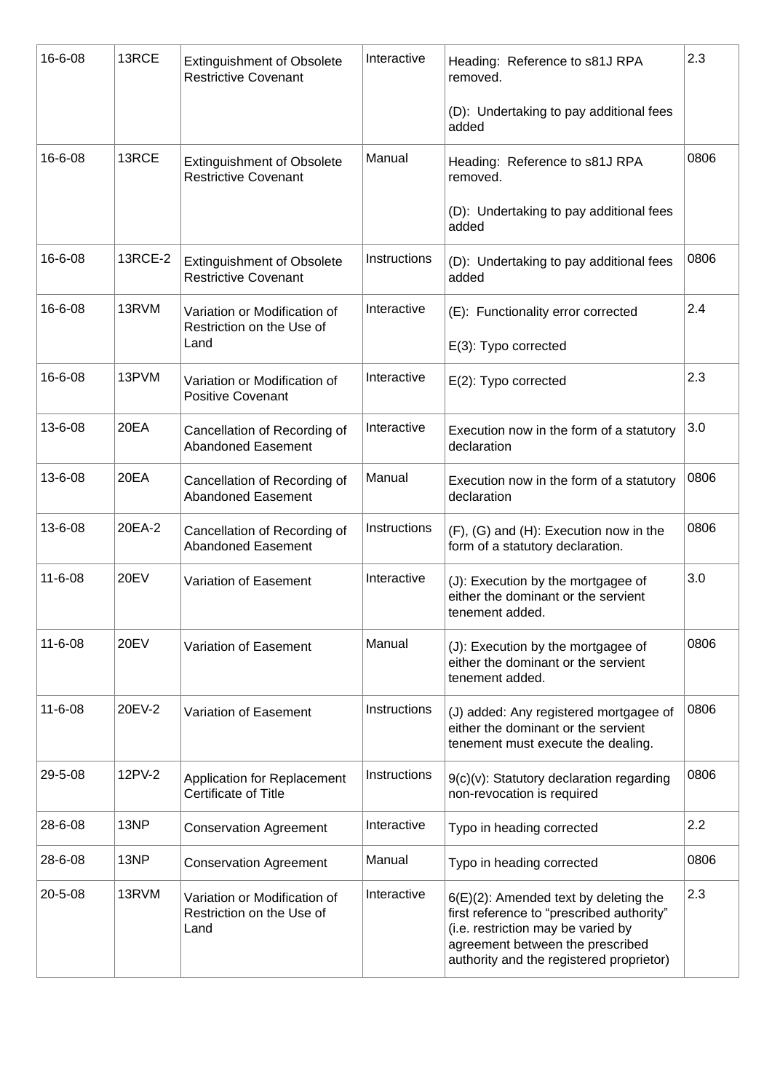| 16-6-08       | 13RCE       | <b>Extinguishment of Obsolete</b><br><b>Restrictive Covenant</b>  | Interactive  | Heading: Reference to s81J RPA<br>removed.                                                                                                                                                                  | 2.3  |
|---------------|-------------|-------------------------------------------------------------------|--------------|-------------------------------------------------------------------------------------------------------------------------------------------------------------------------------------------------------------|------|
|               |             |                                                                   |              | (D): Undertaking to pay additional fees<br>added                                                                                                                                                            |      |
| 16-6-08       | 13RCE       | <b>Extinguishment of Obsolete</b><br><b>Restrictive Covenant</b>  | Manual       | Heading: Reference to s81J RPA<br>removed.                                                                                                                                                                  | 0806 |
|               |             |                                                                   |              | (D): Undertaking to pay additional fees<br>added                                                                                                                                                            |      |
| 16-6-08       | 13RCE-2     | <b>Extinguishment of Obsolete</b><br><b>Restrictive Covenant</b>  | Instructions | (D): Undertaking to pay additional fees<br>added                                                                                                                                                            | 0806 |
| 16-6-08       | 13RVM       | Variation or Modification of<br>Restriction on the Use of         | Interactive  | (E): Functionality error corrected                                                                                                                                                                          | 2.4  |
|               |             | Land                                                              |              | E(3): Typo corrected                                                                                                                                                                                        |      |
| 16-6-08       | 13PVM       | Variation or Modification of<br><b>Positive Covenant</b>          | Interactive  | E(2): Typo corrected                                                                                                                                                                                        | 2.3  |
| 13-6-08       | 20EA        | Cancellation of Recording of<br><b>Abandoned Easement</b>         | Interactive  | Execution now in the form of a statutory<br>declaration                                                                                                                                                     | 3.0  |
| 13-6-08       | 20EA        | Cancellation of Recording of<br><b>Abandoned Easement</b>         | Manual       | Execution now in the form of a statutory<br>declaration                                                                                                                                                     | 0806 |
| 13-6-08       | 20EA-2      | Cancellation of Recording of<br><b>Abandoned Easement</b>         | Instructions | (F), (G) and (H): Execution now in the<br>form of a statutory declaration.                                                                                                                                  | 0806 |
| $11 - 6 - 08$ | <b>20EV</b> | Variation of Easement                                             | Interactive  | (J): Execution by the mortgagee of<br>either the dominant or the servient<br>tenement added.                                                                                                                | 3.0  |
| $11 - 6 - 08$ | <b>20EV</b> | Variation of Easement                                             | Manual       | (J): Execution by the mortgagee of<br>either the dominant or the servient<br>tenement added.                                                                                                                | 0806 |
| $11 - 6 - 08$ | 20EV-2      | Variation of Easement                                             | Instructions | (J) added: Any registered mortgagee of<br>either the dominant or the servient<br>tenement must execute the dealing.                                                                                         | 0806 |
| 29-5-08       | 12PV-2      | <b>Application for Replacement</b><br>Certificate of Title        | Instructions | $9(c)(v)$ : Statutory declaration regarding<br>non-revocation is required                                                                                                                                   | 0806 |
| 28-6-08       | 13NP        | <b>Conservation Agreement</b>                                     | Interactive  | Typo in heading corrected                                                                                                                                                                                   | 2.2  |
| 28-6-08       | 13NP        | <b>Conservation Agreement</b>                                     | Manual       | Typo in heading corrected                                                                                                                                                                                   | 0806 |
| $20 - 5 - 08$ | 13RVM       | Variation or Modification of<br>Restriction on the Use of<br>Land | Interactive  | $6(E)(2)$ : Amended text by deleting the<br>first reference to "prescribed authority"<br>(i.e. restriction may be varied by<br>agreement between the prescribed<br>authority and the registered proprietor) | 2.3  |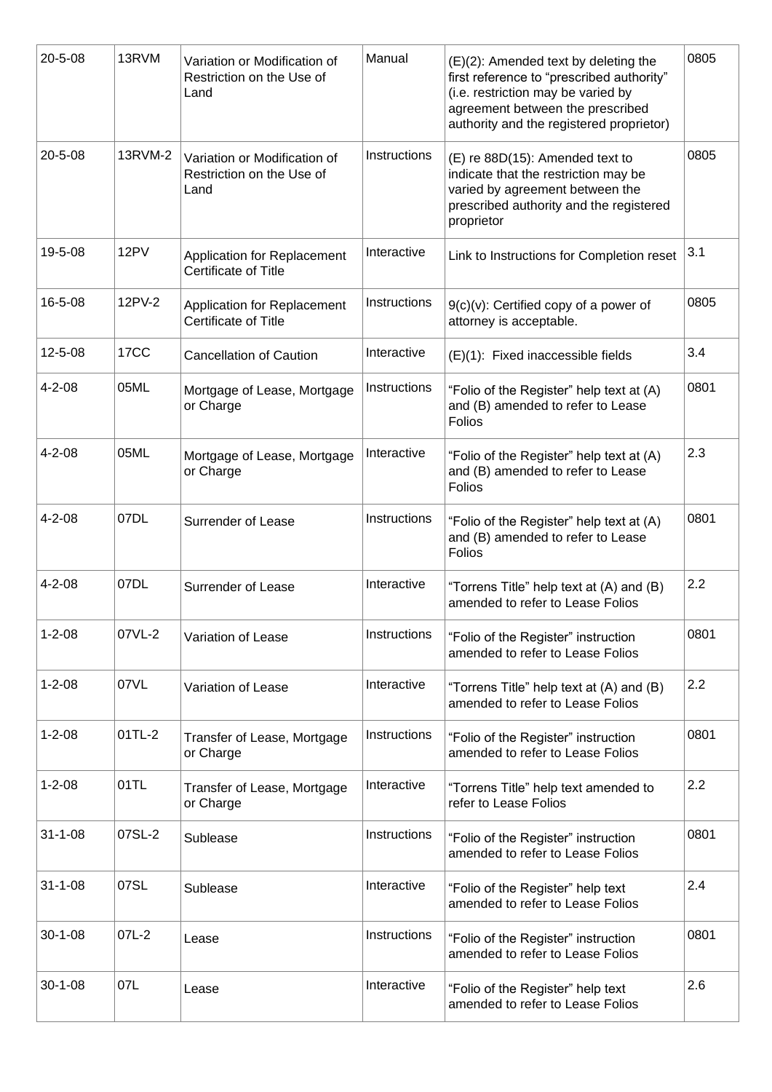| 20-5-08       | 13RVM   | Variation or Modification of<br>Restriction on the Use of<br>Land | Manual       | $(E)(2)$ : Amended text by deleting the<br>first reference to "prescribed authority"<br>(i.e. restriction may be varied by<br>agreement between the prescribed<br>authority and the registered proprietor) | 0805 |
|---------------|---------|-------------------------------------------------------------------|--------------|------------------------------------------------------------------------------------------------------------------------------------------------------------------------------------------------------------|------|
| $20 - 5 - 08$ | 13RVM-2 | Variation or Modification of<br>Restriction on the Use of<br>Land | Instructions | (E) re 88D(15): Amended text to<br>indicate that the restriction may be<br>varied by agreement between the<br>prescribed authority and the registered<br>proprietor                                        | 0805 |
| 19-5-08       | 12PV    | <b>Application for Replacement</b><br>Certificate of Title        | Interactive  | Link to Instructions for Completion reset                                                                                                                                                                  | 3.1  |
| 16-5-08       | 12PV-2  | Application for Replacement<br>Certificate of Title               | Instructions | $9(c)(v)$ : Certified copy of a power of<br>attorney is acceptable.                                                                                                                                        | 0805 |
| $12 - 5 - 08$ | 17CC    | <b>Cancellation of Caution</b>                                    | Interactive  | (E)(1): Fixed inaccessible fields                                                                                                                                                                          | 3.4  |
| $4 - 2 - 08$  | 05ML    | Mortgage of Lease, Mortgage<br>or Charge                          | Instructions | "Folio of the Register" help text at (A)<br>and (B) amended to refer to Lease<br>Folios                                                                                                                    | 0801 |
| $4 - 2 - 08$  | 05ML    | Mortgage of Lease, Mortgage<br>or Charge                          | Interactive  | "Folio of the Register" help text at (A)<br>and (B) amended to refer to Lease<br>Folios                                                                                                                    | 2.3  |
| $4 - 2 - 08$  | 07DL    | Surrender of Lease                                                | Instructions | "Folio of the Register" help text at (A)<br>and (B) amended to refer to Lease<br>Folios                                                                                                                    | 0801 |
| $4 - 2 - 08$  | 07DL    | Surrender of Lease                                                | Interactive  | "Torrens Title" help text at (A) and (B)<br>amended to refer to Lease Folios                                                                                                                               | 2.2  |
| $1 - 2 - 08$  | 07VL-2  | Variation of Lease                                                | Instructions | "Folio of the Register" instruction<br>amended to refer to Lease Folios                                                                                                                                    | 0801 |
| $1 - 2 - 08$  | 07VL    | Variation of Lease                                                | Interactive  | "Torrens Title" help text at (A) and (B)<br>amended to refer to Lease Folios                                                                                                                               | 2.2  |
| $1 - 2 - 08$  | 01TL-2  | Transfer of Lease, Mortgage<br>or Charge                          | Instructions | "Folio of the Register" instruction<br>amended to refer to Lease Folios                                                                                                                                    | 0801 |
| $1 - 2 - 08$  | 01TL    | Transfer of Lease, Mortgage<br>or Charge                          | Interactive  | "Torrens Title" help text amended to<br>refer to Lease Folios                                                                                                                                              | 2.2  |
| $31 - 1 - 08$ | 07SL-2  | Sublease                                                          | Instructions | "Folio of the Register" instruction<br>amended to refer to Lease Folios                                                                                                                                    | 0801 |
| $31 - 1 - 08$ | 07SL    | Sublease                                                          | Interactive  | "Folio of the Register" help text<br>amended to refer to Lease Folios                                                                                                                                      | 2.4  |
| $30 - 1 - 08$ | $07L-2$ | Lease                                                             | Instructions | "Folio of the Register" instruction<br>amended to refer to Lease Folios                                                                                                                                    | 0801 |
| $30 - 1 - 08$ | 07L     | Lease                                                             | Interactive  | "Folio of the Register" help text<br>amended to refer to Lease Folios                                                                                                                                      | 2.6  |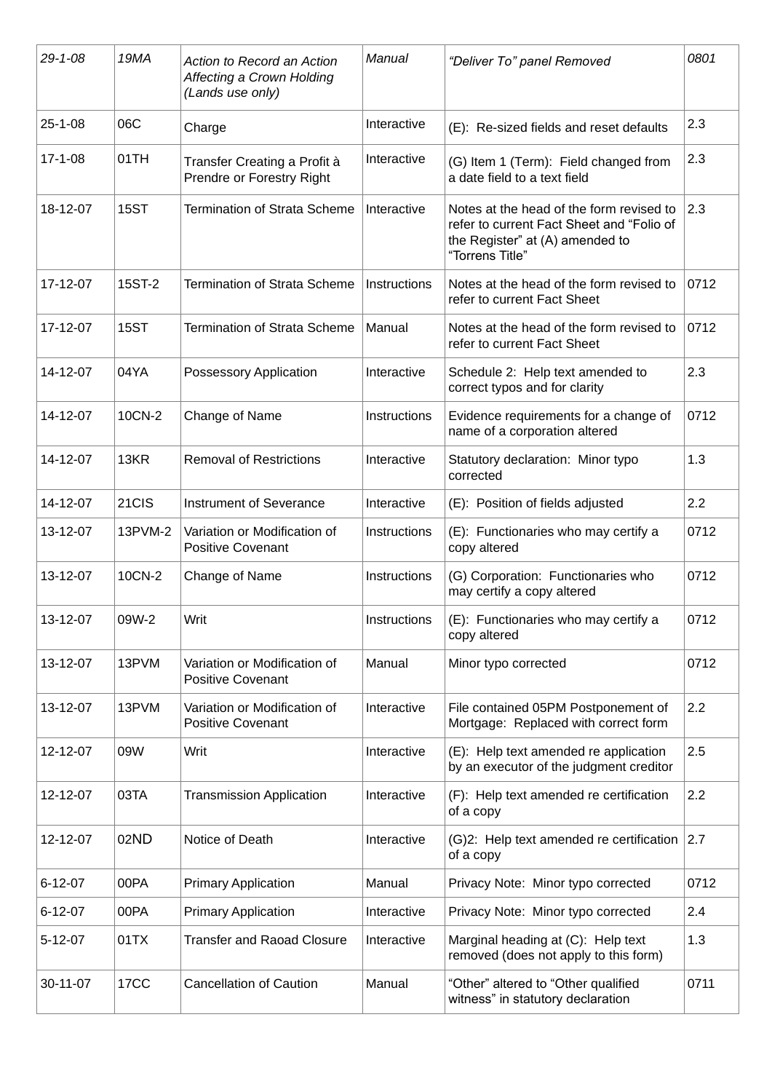| $29 - 1 - 08$ | 19MA        | Action to Record an Action<br>Affecting a Crown Holding<br>(Lands use only) | Manual              | "Deliver To" panel Removed                                                                                                                  | 0801 |
|---------------|-------------|-----------------------------------------------------------------------------|---------------------|---------------------------------------------------------------------------------------------------------------------------------------------|------|
| $25 - 1 - 08$ | 06C         | Charge                                                                      | Interactive         | (E): Re-sized fields and reset defaults                                                                                                     | 2.3  |
| $17 - 1 - 08$ | 01TH        | Transfer Creating a Profit à<br>Prendre or Forestry Right                   | Interactive         | (G) Item 1 (Term): Field changed from<br>a date field to a text field                                                                       | 2.3  |
| 18-12-07      | <b>15ST</b> | <b>Termination of Strata Scheme</b>                                         | Interactive         | Notes at the head of the form revised to<br>refer to current Fact Sheet and "Folio of<br>the Register" at (A) amended to<br>"Torrens Title" | 2.3  |
| 17-12-07      | 15ST-2      | <b>Termination of Strata Scheme</b>                                         | Instructions        | Notes at the head of the form revised to<br>refer to current Fact Sheet                                                                     | 0712 |
| 17-12-07      | <b>15ST</b> | <b>Termination of Strata Scheme</b>                                         | Manual              | Notes at the head of the form revised to<br>refer to current Fact Sheet                                                                     | 0712 |
| 14-12-07      | 04YA        | Possessory Application                                                      | Interactive         | Schedule 2: Help text amended to<br>correct typos and for clarity                                                                           | 2.3  |
| 14-12-07      | 10CN-2      | Change of Name                                                              | <b>Instructions</b> | Evidence requirements for a change of<br>name of a corporation altered                                                                      | 0712 |
| 14-12-07      | 13KR        | <b>Removal of Restrictions</b>                                              | Interactive         | Statutory declaration: Minor typo<br>corrected                                                                                              | 1.3  |
| 14-12-07      | 21CIS       | Instrument of Severance                                                     | Interactive         | (E): Position of fields adjusted                                                                                                            | 2.2  |
| 13-12-07      | 13PVM-2     | Variation or Modification of<br><b>Positive Covenant</b>                    | Instructions        | (E): Functionaries who may certify a<br>copy altered                                                                                        | 0712 |
| 13-12-07      | 10CN-2      | Change of Name                                                              | Instructions        | (G) Corporation: Functionaries who<br>may certify a copy altered                                                                            | 0712 |
| 13-12-07      | 09W-2       | Writ                                                                        | Instructions        | (E): Functionaries who may certify a<br>copy altered                                                                                        | 0712 |
| 13-12-07      | 13PVM       | Variation or Modification of<br><b>Positive Covenant</b>                    | Manual              | Minor typo corrected                                                                                                                        | 0712 |
| 13-12-07      | 13PVM       | Variation or Modification of<br><b>Positive Covenant</b>                    | Interactive         | File contained 05PM Postponement of<br>Mortgage: Replaced with correct form                                                                 | 2.2  |
| 12-12-07      | 09W         | Writ                                                                        | Interactive         | (E): Help text amended re application<br>by an executor of the judgment creditor                                                            | 2.5  |
| 12-12-07      | 03TA        | <b>Transmission Application</b>                                             | Interactive         | (F): Help text amended re certification<br>of a copy                                                                                        | 2.2  |
| 12-12-07      | 02ND        | Notice of Death                                                             | Interactive         | (G)2: Help text amended re certification 2.7<br>of a copy                                                                                   |      |
| $6 - 12 - 07$ | 00PA        | <b>Primary Application</b>                                                  | Manual              | Privacy Note: Minor typo corrected                                                                                                          | 0712 |
| $6 - 12 - 07$ | 00PA        | <b>Primary Application</b>                                                  | Interactive         | Privacy Note: Minor typo corrected                                                                                                          | 2.4  |
| $5 - 12 - 07$ | 01TX        | <b>Transfer and Raoad Closure</b>                                           | Interactive         | Marginal heading at (C): Help text<br>removed (does not apply to this form)                                                                 | 1.3  |
| 30-11-07      | <b>17CC</b> | <b>Cancellation of Caution</b>                                              | Manual              | "Other" altered to "Other qualified<br>witness" in statutory declaration                                                                    | 0711 |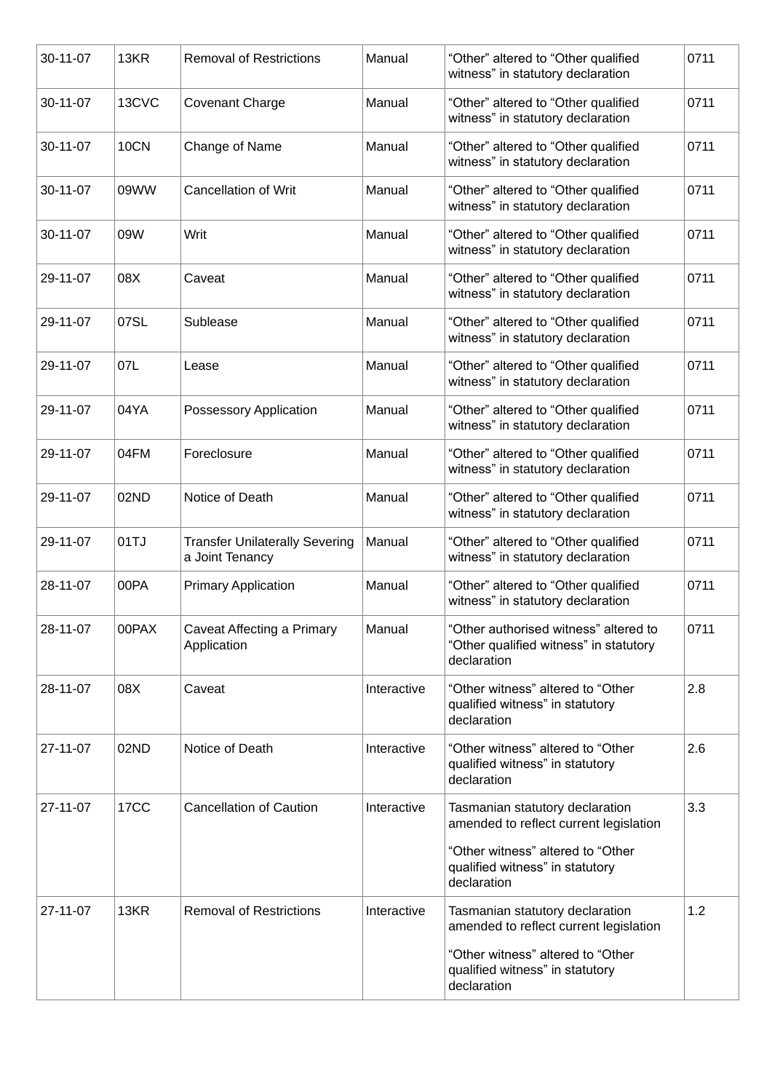| 30-11-07 | 13KR             | <b>Removal of Restrictions</b>                           | Manual      | "Other" altered to "Other qualified<br>witness" in statutory declaration                       | 0711 |
|----------|------------------|----------------------------------------------------------|-------------|------------------------------------------------------------------------------------------------|------|
| 30-11-07 | 13CVC            | <b>Covenant Charge</b>                                   | Manual      | "Other" altered to "Other qualified<br>witness" in statutory declaration                       | 0711 |
| 30-11-07 | <b>10CN</b>      | Change of Name                                           | Manual      | "Other" altered to "Other qualified<br>witness" in statutory declaration                       | 0711 |
| 30-11-07 | 09WW             | <b>Cancellation of Writ</b>                              | Manual      | "Other" altered to "Other qualified<br>witness" in statutory declaration                       | 0711 |
| 30-11-07 | 09W              | Writ                                                     | Manual      | "Other" altered to "Other qualified<br>witness" in statutory declaration                       | 0711 |
| 29-11-07 | 08X              | Caveat                                                   | Manual      | "Other" altered to "Other qualified<br>witness" in statutory declaration                       | 0711 |
| 29-11-07 | 07SL             | Sublease                                                 | Manual      | "Other" altered to "Other qualified<br>witness" in statutory declaration                       | 0711 |
| 29-11-07 | 07L              | Lease                                                    | Manual      | "Other" altered to "Other qualified<br>witness" in statutory declaration                       | 0711 |
| 29-11-07 | 04YA             | Possessory Application                                   | Manual      | "Other" altered to "Other qualified<br>witness" in statutory declaration                       | 0711 |
| 29-11-07 | 04FM             | Foreclosure                                              | Manual      | "Other" altered to "Other qualified<br>witness" in statutory declaration                       | 0711 |
| 29-11-07 | 02ND             | Notice of Death                                          | Manual      | "Other" altered to "Other qualified<br>witness" in statutory declaration                       | 0711 |
| 29-11-07 | 01TJ             | <b>Transfer Unilaterally Severing</b><br>a Joint Tenancy | Manual      | "Other" altered to "Other qualified<br>witness" in statutory declaration                       | 0711 |
| 28-11-07 | 00PA             | <b>Primary Application</b>                               | Manual      | "Other" altered to "Other qualified<br>witness" in statutory declaration                       | 0711 |
| 28-11-07 | 00PAX            | Caveat Affecting a Primary<br>Application                | Manual      | "Other authorised witness" altered to<br>"Other qualified witness" in statutory<br>declaration | 0711 |
| 28-11-07 | 08X              | Caveat                                                   | Interactive | "Other witness" altered to "Other<br>qualified witness" in statutory<br>declaration            | 2.8  |
| 27-11-07 | 02ND             | Notice of Death                                          | Interactive | "Other witness" altered to "Other<br>qualified witness" in statutory<br>declaration            | 2.6  |
| 27-11-07 | 17 <sub>CC</sub> | <b>Cancellation of Caution</b>                           | Interactive | Tasmanian statutory declaration<br>amended to reflect current legislation                      | 3.3  |
|          |                  |                                                          |             | "Other witness" altered to "Other<br>qualified witness" in statutory<br>declaration            |      |
| 27-11-07 | 13KR             | <b>Removal of Restrictions</b>                           | Interactive | Tasmanian statutory declaration<br>amended to reflect current legislation                      | 1.2  |
|          |                  |                                                          |             | "Other witness" altered to "Other<br>qualified witness" in statutory<br>declaration            |      |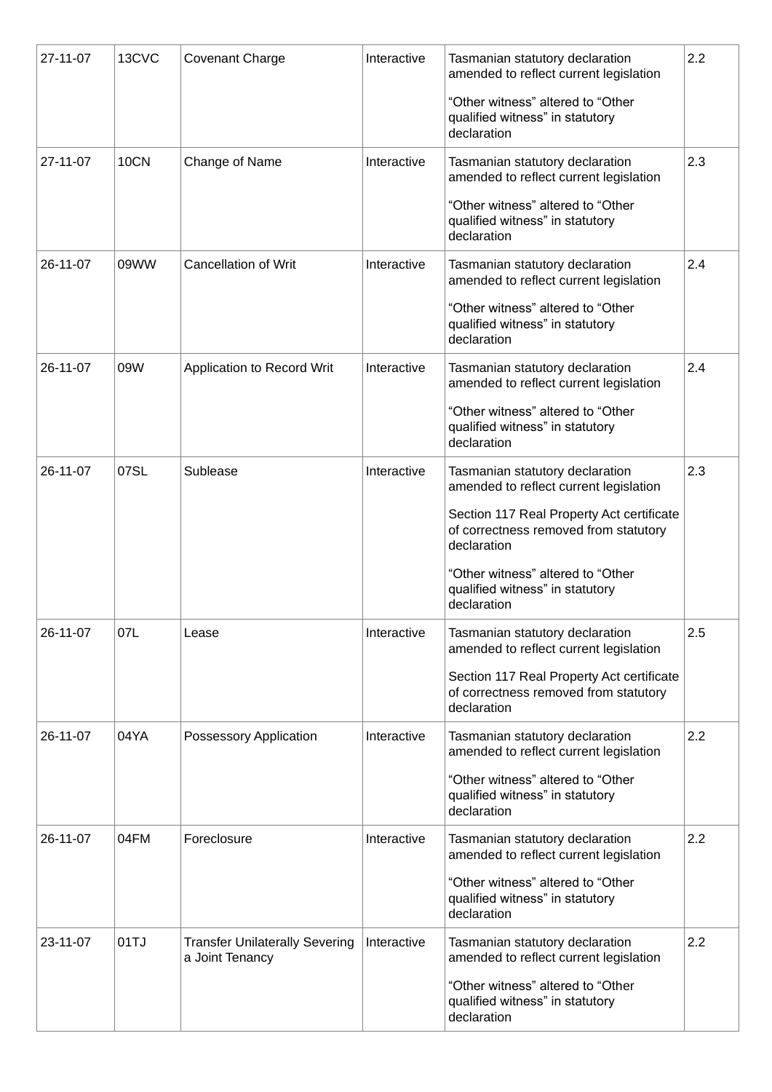| 27-11-07 | 13CVC       | <b>Covenant Charge</b>                                   | Interactive | Tasmanian statutory declaration<br>amended to reflect current legislation<br>"Other witness" altered to "Other<br>qualified witness" in statutory<br>declaration                                                                                                      | 2.2 |
|----------|-------------|----------------------------------------------------------|-------------|-----------------------------------------------------------------------------------------------------------------------------------------------------------------------------------------------------------------------------------------------------------------------|-----|
| 27-11-07 | <b>10CN</b> | Change of Name                                           | Interactive | Tasmanian statutory declaration<br>amended to reflect current legislation<br>"Other witness" altered to "Other<br>qualified witness" in statutory<br>declaration                                                                                                      | 2.3 |
| 26-11-07 | 09WW        | <b>Cancellation of Writ</b>                              | Interactive | Tasmanian statutory declaration<br>amended to reflect current legislation<br>"Other witness" altered to "Other<br>qualified witness" in statutory<br>declaration                                                                                                      | 2.4 |
| 26-11-07 | 09W         | Application to Record Writ                               | Interactive | Tasmanian statutory declaration<br>amended to reflect current legislation<br>"Other witness" altered to "Other<br>qualified witness" in statutory<br>declaration                                                                                                      | 2.4 |
| 26-11-07 | 07SL        | Sublease                                                 | Interactive | Tasmanian statutory declaration<br>amended to reflect current legislation<br>Section 117 Real Property Act certificate<br>of correctness removed from statutory<br>declaration<br>"Other witness" altered to "Other<br>qualified witness" in statutory<br>declaration | 2.3 |
| 26-11-07 | 07L         | Lease                                                    | Interactive | Tasmanian statutory declaration<br>amended to reflect current legislation<br>Section 117 Real Property Act certificate<br>of correctness removed from statutory<br>declaration                                                                                        | 2.5 |
| 26-11-07 | 04YA        | Possessory Application                                   | Interactive | Tasmanian statutory declaration<br>amended to reflect current legislation<br>"Other witness" altered to "Other<br>qualified witness" in statutory<br>declaration                                                                                                      | 2.2 |
| 26-11-07 | 04FM        | Foreclosure                                              | Interactive | Tasmanian statutory declaration<br>amended to reflect current legislation<br>"Other witness" altered to "Other<br>qualified witness" in statutory<br>declaration                                                                                                      | 2.2 |
| 23-11-07 | 01TJ        | <b>Transfer Unilaterally Severing</b><br>a Joint Tenancy | Interactive | Tasmanian statutory declaration<br>amended to reflect current legislation<br>"Other witness" altered to "Other<br>qualified witness" in statutory<br>declaration                                                                                                      | 2.2 |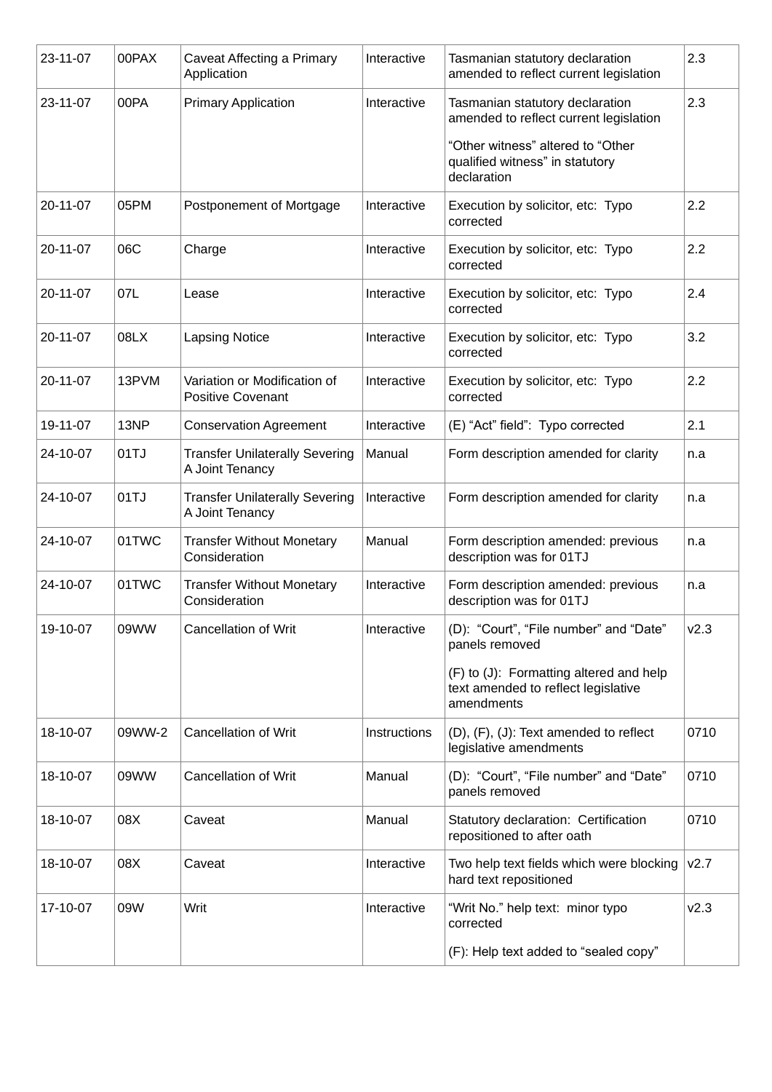| 23-11-07 | 00PAX  | Caveat Affecting a Primary<br>Application                | Interactive  | Tasmanian statutory declaration<br>amended to reflect current legislation                    | 2.3  |
|----------|--------|----------------------------------------------------------|--------------|----------------------------------------------------------------------------------------------|------|
| 23-11-07 | 00PA   | <b>Primary Application</b>                               | Interactive  | Tasmanian statutory declaration<br>amended to reflect current legislation                    | 2.3  |
|          |        |                                                          |              | "Other witness" altered to "Other<br>qualified witness" in statutory<br>declaration          |      |
| 20-11-07 | 05PM   | Postponement of Mortgage                                 | Interactive  | Execution by solicitor, etc: Typo<br>corrected                                               | 2.2  |
| 20-11-07 | 06C    | Charge                                                   | Interactive  | Execution by solicitor, etc: Typo<br>corrected                                               | 2.2  |
| 20-11-07 | 07L    | Lease                                                    | Interactive  | Execution by solicitor, etc: Typo<br>corrected                                               | 2.4  |
| 20-11-07 | 08LX   | <b>Lapsing Notice</b>                                    | Interactive  | Execution by solicitor, etc: Typo<br>corrected                                               | 3.2  |
| 20-11-07 | 13PVM  | Variation or Modification of<br><b>Positive Covenant</b> | Interactive  | Execution by solicitor, etc: Typo<br>corrected                                               | 2.2  |
| 19-11-07 | 13NP   | <b>Conservation Agreement</b>                            | Interactive  | (E) "Act" field": Typo corrected                                                             | 2.1  |
| 24-10-07 | 01TJ   | <b>Transfer Unilaterally Severing</b><br>A Joint Tenancy | Manual       | Form description amended for clarity                                                         | n.a  |
| 24-10-07 | 01TJ   | <b>Transfer Unilaterally Severing</b><br>A Joint Tenancy | Interactive  | Form description amended for clarity                                                         | n.a  |
| 24-10-07 | 01TWC  | <b>Transfer Without Monetary</b><br>Consideration        | Manual       | Form description amended: previous<br>description was for 01TJ                               | n.a  |
| 24-10-07 | 01TWC  | <b>Transfer Without Monetary</b><br>Consideration        | Interactive  | Form description amended: previous<br>description was for 01TJ                               | n.a  |
| 19-10-07 | 09WW   | <b>Cancellation of Writ</b>                              | Interactive  | (D): "Court", "File number" and "Date"<br>panels removed                                     | v2.3 |
|          |        |                                                          |              | (F) to (J): Formatting altered and help<br>text amended to reflect legislative<br>amendments |      |
| 18-10-07 | 09WW-2 | <b>Cancellation of Writ</b>                              | Instructions | $(D)$ , $(F)$ , $(J)$ : Text amended to reflect<br>legislative amendments                    | 0710 |
| 18-10-07 | 09WW   | <b>Cancellation of Writ</b>                              | Manual       | (D): "Court", "File number" and "Date"<br>panels removed                                     | 0710 |
| 18-10-07 | 08X    | Caveat                                                   | Manual       | Statutory declaration: Certification<br>repositioned to after oath                           | 0710 |
| 18-10-07 | 08X    | Caveat                                                   | Interactive  | Two help text fields which were blocking<br>hard text repositioned                           | V2.7 |
| 17-10-07 | 09W    | Writ                                                     | Interactive  | "Writ No." help text: minor typo<br>corrected                                                | v2.3 |
|          |        |                                                          |              | (F): Help text added to "sealed copy"                                                        |      |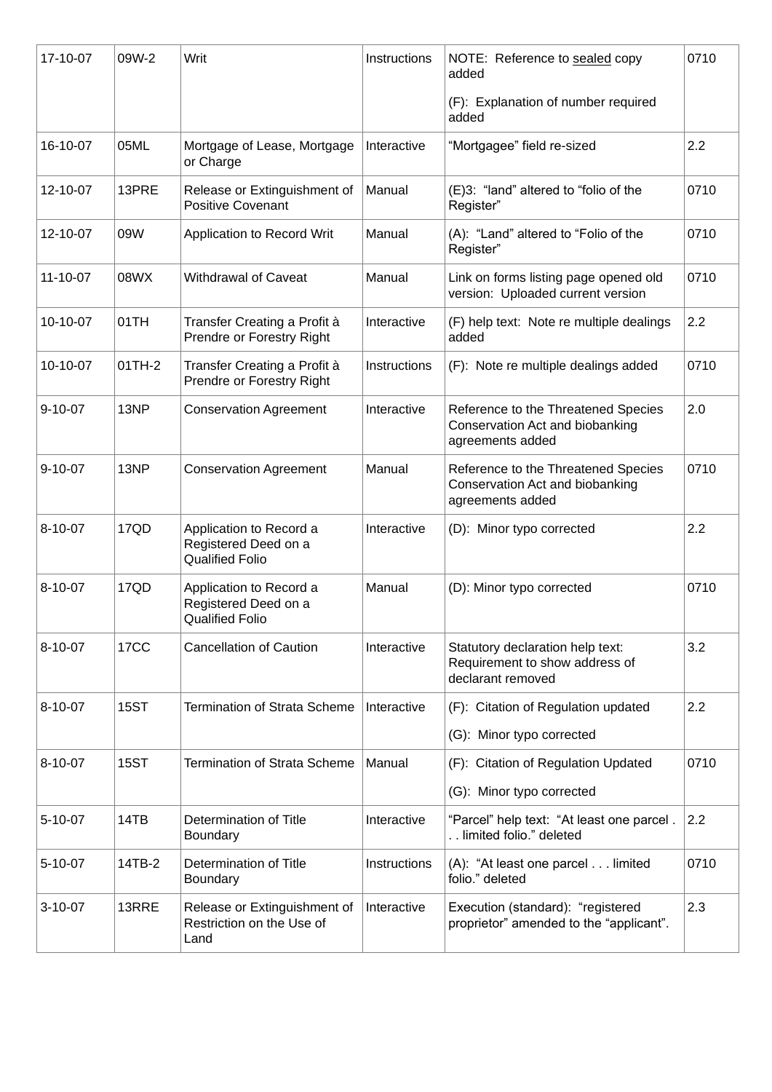| 17-10-07       | 09W-2            | Writ                                                                      | Instructions | NOTE: Reference to sealed copy<br>added                                                    | 0710 |
|----------------|------------------|---------------------------------------------------------------------------|--------------|--------------------------------------------------------------------------------------------|------|
|                |                  |                                                                           |              | (F): Explanation of number required<br>added                                               |      |
| 16-10-07       | 05ML             | Mortgage of Lease, Mortgage<br>or Charge                                  | Interactive  | "Mortgagee" field re-sized                                                                 | 2.2  |
| 12-10-07       | 13PRE            | Release or Extinguishment of<br><b>Positive Covenant</b>                  | Manual       | (E)3: "land" altered to "folio of the<br>Register"                                         | 0710 |
| 12-10-07       | 09W              | Application to Record Writ                                                | Manual       | (A): "Land" altered to "Folio of the<br>Register"                                          | 0710 |
| $11 - 10 - 07$ | 08WX             | <b>Withdrawal of Caveat</b>                                               | Manual       | Link on forms listing page opened old<br>version: Uploaded current version                 | 0710 |
| 10-10-07       | 01TH             | Transfer Creating a Profit à<br>Prendre or Forestry Right                 | Interactive  | (F) help text: Note re multiple dealings<br>added                                          | 2.2  |
| 10-10-07       | 01TH-2           | Transfer Creating a Profit à<br>Prendre or Forestry Right                 | Instructions | (F): Note re multiple dealings added                                                       | 0710 |
| $9 - 10 - 07$  | 13NP             | <b>Conservation Agreement</b>                                             | Interactive  | Reference to the Threatened Species<br>Conservation Act and biobanking<br>agreements added | 2.0  |
| $9 - 10 - 07$  | 13NP             | <b>Conservation Agreement</b>                                             | Manual       | Reference to the Threatened Species<br>Conservation Act and biobanking<br>agreements added | 0710 |
| $8 - 10 - 07$  | 17QD             | Application to Record a<br>Registered Deed on a<br><b>Qualified Folio</b> | Interactive  | (D): Minor typo corrected                                                                  | 2.2  |
| 8-10-07        | 17QD             | Application to Record a<br>Registered Deed on a<br><b>Qualified Folio</b> | Manual       | (D): Minor typo corrected                                                                  | 0710 |
| $8 - 10 - 07$  | 17 <sub>CC</sub> | <b>Cancellation of Caution</b>                                            | Interactive  | Statutory declaration help text:<br>Requirement to show address of<br>declarant removed    | 3.2  |
| $8 - 10 - 07$  | <b>15ST</b>      | <b>Termination of Strata Scheme</b>                                       | Interactive  | (F): Citation of Regulation updated                                                        | 2.2  |
|                |                  |                                                                           |              | (G): Minor typo corrected                                                                  |      |
| $8 - 10 - 07$  | <b>15ST</b>      | <b>Termination of Strata Scheme</b>                                       | Manual       | (F): Citation of Regulation Updated                                                        | 0710 |
|                |                  |                                                                           |              | (G): Minor typo corrected                                                                  |      |
| $5 - 10 - 07$  | 14TB             | Determination of Title<br><b>Boundary</b>                                 | Interactive  | "Parcel" help text: "At least one parcel.<br>limited folio." deleted                       | 2.2  |
| $5 - 10 - 07$  | 14TB-2           | Determination of Title<br><b>Boundary</b>                                 | Instructions | (A): "At least one parcel limited<br>folio." deleted                                       | 0710 |
| $3-10-07$      | 13RRE            | Release or Extinguishment of<br>Restriction on the Use of<br>Land         | Interactive  | Execution (standard): "registered<br>proprietor" amended to the "applicant".               | 2.3  |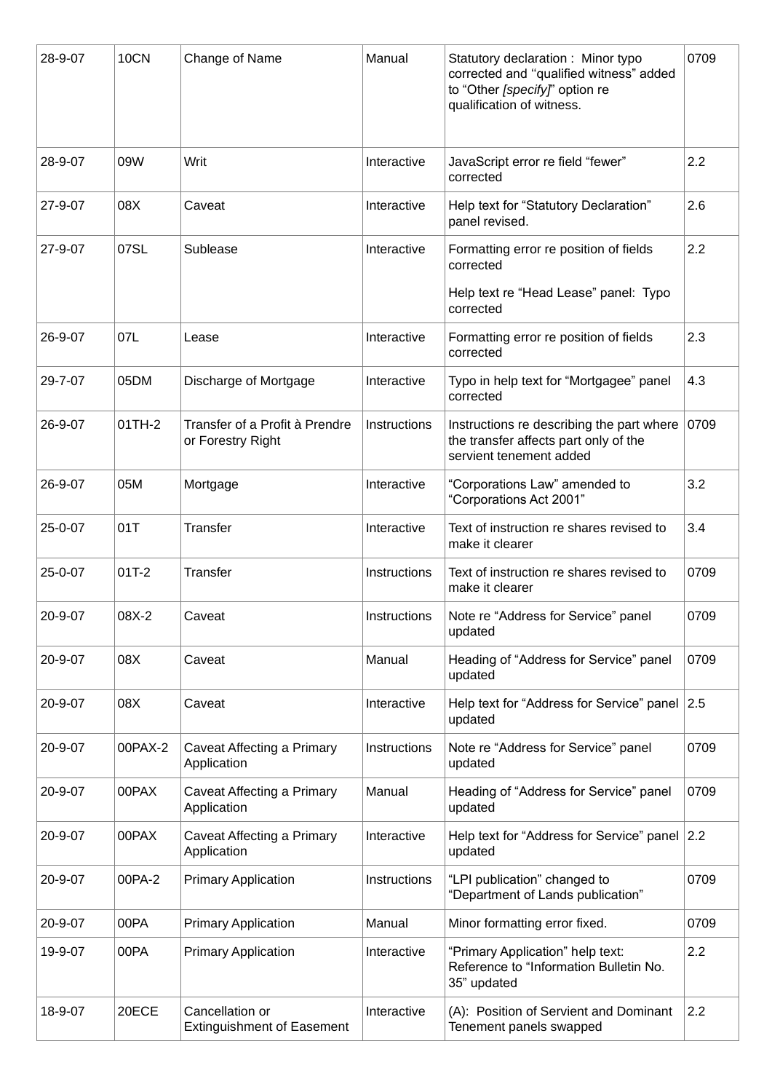| 28-9-07 | 10CN    | Change of Name                                       | Manual       | Statutory declaration: Minor typo<br>corrected and "qualified witness" added<br>to "Other [specify]" option re<br>qualification of witness. | 0709 |
|---------|---------|------------------------------------------------------|--------------|---------------------------------------------------------------------------------------------------------------------------------------------|------|
| 28-9-07 | 09W     | Writ                                                 | Interactive  | JavaScript error re field "fewer"<br>corrected                                                                                              | 2.2  |
| 27-9-07 | 08X     | Caveat                                               | Interactive  | Help text for "Statutory Declaration"<br>panel revised.                                                                                     | 2.6  |
| 27-9-07 | 07SL    | Sublease                                             | Interactive  | Formatting error re position of fields<br>corrected                                                                                         | 2.2  |
|         |         |                                                      |              | Help text re "Head Lease" panel: Typo<br>corrected                                                                                          |      |
| 26-9-07 | 07L     | Lease                                                | Interactive  | Formatting error re position of fields<br>corrected                                                                                         | 2.3  |
| 29-7-07 | 05DM    | Discharge of Mortgage                                | Interactive  | Typo in help text for "Mortgagee" panel<br>corrected                                                                                        | 4.3  |
| 26-9-07 | 01TH-2  | Transfer of a Profit à Prendre<br>or Forestry Right  | Instructions | Instructions re describing the part where<br>the transfer affects part only of the<br>servient tenement added                               | 0709 |
| 26-9-07 | 05M     | Mortgage                                             | Interactive  | "Corporations Law" amended to<br>"Corporations Act 2001"                                                                                    | 3.2  |
| 25-0-07 | 01T     | <b>Transfer</b>                                      | Interactive  | Text of instruction re shares revised to<br>make it clearer                                                                                 | 3.4  |
| 25-0-07 | $01T-2$ | Transfer                                             | Instructions | Text of instruction re shares revised to<br>make it clearer                                                                                 | 0709 |
| 20-9-07 | 08X-2   | Caveat                                               | Instructions | Note re "Address for Service" panel<br>updated                                                                                              | 0709 |
| 20-9-07 | 08X     | Caveat                                               | Manual       | Heading of "Address for Service" panel<br>updated                                                                                           | 0709 |
| 20-9-07 | 08X     | Caveat                                               | Interactive  | Help text for "Address for Service" panel 2.5<br>updated                                                                                    |      |
| 20-9-07 | 00PAX-2 | Caveat Affecting a Primary<br>Application            | Instructions | Note re "Address for Service" panel<br>updated                                                                                              | 0709 |
| 20-9-07 | 00PAX   | Caveat Affecting a Primary<br>Application            | Manual       | Heading of "Address for Service" panel<br>updated                                                                                           | 0709 |
| 20-9-07 | 00PAX   | Caveat Affecting a Primary<br>Application            | Interactive  | Help text for "Address for Service" panel 2.2<br>updated                                                                                    |      |
| 20-9-07 | 00PA-2  | <b>Primary Application</b>                           | Instructions | "LPI publication" changed to<br>"Department of Lands publication"                                                                           | 0709 |
| 20-9-07 | 00PA    | <b>Primary Application</b>                           | Manual       | Minor formatting error fixed.                                                                                                               | 0709 |
| 19-9-07 | 00PA    | <b>Primary Application</b>                           | Interactive  | "Primary Application" help text:<br>Reference to "Information Bulletin No.<br>35" updated                                                   | 2.2  |
| 18-9-07 | 20ECE   | Cancellation or<br><b>Extinguishment of Easement</b> | Interactive  | (A): Position of Servient and Dominant<br>Tenement panels swapped                                                                           | 2.2  |